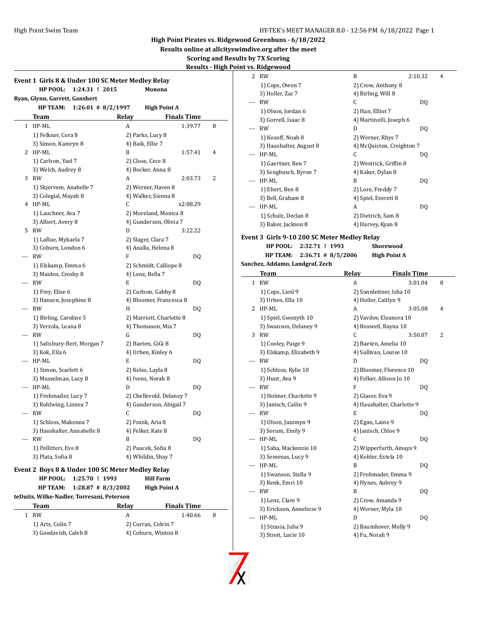**Results online at allcityswimdive.org after the meet**

 $\frac{1}{2}$ 

**Scoring and Results by 7X Scoring**

# **Results - High Point v**

|     | Event 1 Girls 8 & Under 100 SC Meter Medley Relay |       |                                                |    |
|-----|---------------------------------------------------|-------|------------------------------------------------|----|
|     | HP POOL:<br>1:24.31 ! 2015                        |       | Monona                                         |    |
|     | Ryan, Glynn, Garrett, Ganshert                    |       |                                                |    |
|     | <b>HP TEAM:</b><br>$1:26.01$ # 8/2/1997           |       | <b>High Point A</b>                            |    |
|     | <b>Team</b>                                       | Relay | <b>Finals Time</b>                             |    |
|     | 1 HP-ML                                           | A     | 1:39.77                                        | 8  |
|     | 1) Felkner, Cora 8                                |       | 2) Parks, Lucy 8                               |    |
|     | 3) Simon, Kamryn 8                                |       | 4) Baik, Ellie 7                               |    |
|     | 2 HP-ML                                           | B     | 1:57.41                                        | 4  |
|     | 1) Carlson, Yael 7                                |       | 2) Close, Cece 8                               |    |
|     | 3) Welch, Audrey 8                                |       | 4) Becker, Anna 8                              |    |
| 3   | RW                                                | А     | 2:03.73                                        | 2  |
|     | 1) Skjervem, Anabelle 7                           |       | 2) Werner, Haven 8                             |    |
|     | 3) Colegial, Mayah 8                              |       | 4) Walker, Sienna 8                            |    |
|     | 4 HP-ML                                           | C     | x2:08.29                                       |    |
|     | 1) Lauchner, Ava 7                                |       | 2) Moreland, Monica 8                          |    |
|     | 3) Albert, Avery 8                                |       | 4) Gunderson, Olivia 7                         |    |
| 5   | RW                                                | D     | 3:22.22                                        |    |
|     | 1) LaRue, Mykaela 7                               |       | 2) Slager, Clara 7                             |    |
|     | 3) Coburn, London 6<br>RW                         | F     | 4) Analla, Helena 8                            |    |
| --- |                                                   |       |                                                | DQ |
|     | 1) Elskamp, Emma 6                                |       | 2) Schmidt, Calliope 8                         |    |
| --- | 3) Maiden, Crosby 8<br><b>RW</b>                  | E     | 4) Lenz, Bella 7                               |    |
|     | 1) Frey, Elise 6                                  |       |                                                | DQ |
|     | 3) Hansen, Josephine 8                            |       | 2) Carlson, Gabby 8<br>4) Bloomer, Francesca 8 |    |
| --- | <b>RW</b>                                         | H     |                                                | DQ |
|     | 1) Birling, Caroline 5                            |       |                                                |    |
|     | 3) Verzola, Leana 8                               |       | 2) Marriott, Charlotte 8<br>4) Thomason, Mia 7 |    |
|     | RW                                                | G     |                                                | DQ |
|     | 1) Salisbury-Bert, Morgan 7                       |       | 2) Baeten, GiGi 8                              |    |
|     | 3) Kok, Ella 6                                    |       | 4) Urben, Kinley 6                             |    |
| --- | HP-ML                                             | E     |                                                | DQ |
|     | 1) Simon, Scarlett 6                              |       | 2) Kelso, Layla 8                              |    |
|     | 3) Musselman, Lucy 8                              |       | 4) Ivens, Norah 8                              |    |
| --- | HP-ML                                             | D     |                                                | DQ |
|     | 1) Frohmader, Lucy 7                              |       | 2) Chellevold, Delaney 7                       |    |
|     | 3) Rohlwing, Linnea 7                             |       | 4) Gunderson, Abigail 7                        |    |
| --- | <b>RW</b>                                         | C     |                                                | DQ |
|     | 1) Schloss, Makenna 7                             |       | 2) Frank, Aria 8                               |    |
|     | 3) Haushalter, Annabelle 8                        |       | 4) Felker, Kate 8                              |    |
|     | <b>RW</b>                                         | B     |                                                | DQ |
|     | 1) Pellitteri, Eve 8                              |       | 2) Paucek, Sofia 8                             |    |
|     | 3) Plata, Sofia 8                                 |       | 4) Whildin, Shay 7                             |    |
|     |                                                   |       |                                                |    |
|     | Event 2 Boys 8 & Under 100 SC Meter Medley Relay  |       |                                                |    |
|     | HP POOL:<br>1:25.70 ! 1993                        |       | <b>Hill Farm</b>                               |    |
|     | <b>HP TEAM:</b><br>$1:28.87$ # 8/3/2002           |       | <b>High Point A</b>                            |    |
|     | teDuits, Wilke-Nadler, Torresani, Peterson        |       |                                                |    |
|     | Team                                              | Relay | <b>Finals Time</b>                             |    |
| 1   | <b>RW</b>                                         | A     | 1:40.66                                        | 8  |
|     | 1) Arts, Colin 7                                  |       | 2) Curran, Colvin 7                            |    |
|     | 3) Goodavish, Caleb 8                             |       | 4) Coburn, Winton 8                            |    |

|         | <u>ıt vs. Ridgewood</u>                      |                                             |                     |   |
|---------|----------------------------------------------|---------------------------------------------|---------------------|---|
| 2       | <b>RW</b>                                    | B                                           | 2:10.32             | 4 |
|         | 1) Cops, Owen 7                              | 2) Crow, Anthony 8                          |                     |   |
|         | 3) Holler, Zac 7                             | 4) Birling, Will 8                          |                     |   |
|         | <b>RW</b>                                    | C                                           | DQ                  |   |
|         | 1) Olson, Jordan 6                           | 2) Han, Elliot 7                            |                     |   |
|         | 3) Gorrell, Isaac 8                          | 4) Martinelli, Joseph 6                     |                     |   |
| $- - -$ | <b>RW</b>                                    | D                                           | DQ                  |   |
|         | 1) Kosoff, Noah 8                            | 2) Werner, Rhys 7                           |                     |   |
|         | 3) Haushalter, August 8                      | 4) McQuiston, Creighton 7                   |                     |   |
| ---     | HP-ML                                        | C                                           | DQ                  |   |
|         |                                              |                                             |                     |   |
|         | 1) Gaertner, Ben 7                           | 2) Westrick, Griffin 8<br>4) Kaker, Dylan 8 |                     |   |
| ---     | 3) Sengbusch, Byron 7<br>HP-ML               | B                                           |                     |   |
|         |                                              |                                             | DQ                  |   |
|         | 1) Ebert, Ben 8                              | 2) Lore, Freddy 7                           |                     |   |
|         | 3) Bell, Graham 8                            | 4) Spiel, Everett 8                         |                     |   |
| ---     | HP-ML                                        | A                                           | DQ                  |   |
|         | 1) Schulz, Declan 8                          | 2) Dietrich, Sam 8                          |                     |   |
|         | 3) Baker, Jackson 8                          | 4) Harvey, Kyan 8                           |                     |   |
|         | Event 3 Girls 9-10 200 SC Meter Medley Relay |                                             |                     |   |
|         | HP POOL:<br>2:32.71 ! 1993                   | Shorewood                                   |                     |   |
|         | <b>HP TEAM:</b><br>$2:36.71 \# 8/5/2006$     |                                             | <b>High Point A</b> |   |
|         | Sanchez, Addamo, Landgraf, Zech              |                                             |                     |   |
|         | Team                                         | <b>Relay</b>                                | <b>Finals Time</b>  |   |
| 1       | RW                                           | A                                           | 3:01.04             | 8 |
|         | 1) Cops, Liesl 9                             | 2) Sonnleitner, Isha 10                     |                     |   |
|         | 3) Urben, Ella 10                            | 4) Holler, Caitlyn 9                        |                     |   |
| 2       | HP-ML                                        | A                                           | 3:05.08             | 4 |
|         | 1) Spiel, Gwenyth 10                         | 2) Vavilov, Eleanora 10                     |                     |   |
|         | 3) Swanson, Delaney 9                        | 4) Boxwell, Rayna 10                        |                     |   |
| 3       | <b>RW</b>                                    | C                                           | 3:50.07             | 2 |
|         | 1) Cooley, Paige 9                           | 2) Baeten, Amelia 10                        |                     |   |
|         | 3) Elskamp, Elizabeth 9                      | 4) Sullivan, Louise 10                      |                     |   |
| $- - -$ | RW                                           | D                                           | DQ                  |   |
|         | 1) Schloss, Kylie 10                         | 2) Bloomer, Florence 10                     |                     |   |
|         | 3) Hunt, Ava 9                               | 4) Felker, Allison Jo 10                    |                     |   |
|         | <b>RW</b>                                    | F                                           | DQ                  |   |
|         | 1) Holmer, Charlotte 9                       | 2) Glaser, Eva 9                            |                     |   |
|         | 3) Janisch, Cailin 9                         | 4) Haushalter, Charlotte 9                  |                     |   |
|         | RW                                           | E                                           | DQ                  |   |
|         | 1) Olson, Jazzmyn 9                          | 2) Egan, Laine 9                            |                     |   |
|         | 3) Sorum, Emily 9                            | 4) Janisch, Chloe 9                         |                     |   |
| $---$   | HP-ML                                        | С                                           | DQ                  |   |
|         | 1) Saha, Mackenzie 10                        | 2) Wipperfurth, Amaya 9                     |                     |   |
|         | 3) Semenas, Lucy 9                           | 4) Kohler, Estela 10                        |                     |   |
| ---     | HP-ML                                        | B                                           | DQ                  |   |
|         | 1) Swanson, Stella 9                         | 2) Frohmader, Emma 9                        |                     |   |
|         | 3) Renk, Emri 10                             |                                             |                     |   |
|         |                                              | 4) Hynes, Aubrey 9<br>B                     |                     |   |
| ---     | RW                                           |                                             | DQ                  |   |
|         | 1) Lenz, Clare 9                             | 2) Crow, Amanda 9<br>4) Werner, Myla 10     |                     |   |
|         | 3) Erickson, Anneliese 9                     |                                             |                     |   |
|         | HP-ML                                        | D                                           | DQ                  |   |
|         | 1) Strasia, Julia 9                          | 2) Baumhover, Molly 9                       |                     |   |
|         | 3) Streit, Lucie 10                          | 4) Fu, Norah 9                              |                     |   |
|         |                                              |                                             |                     |   |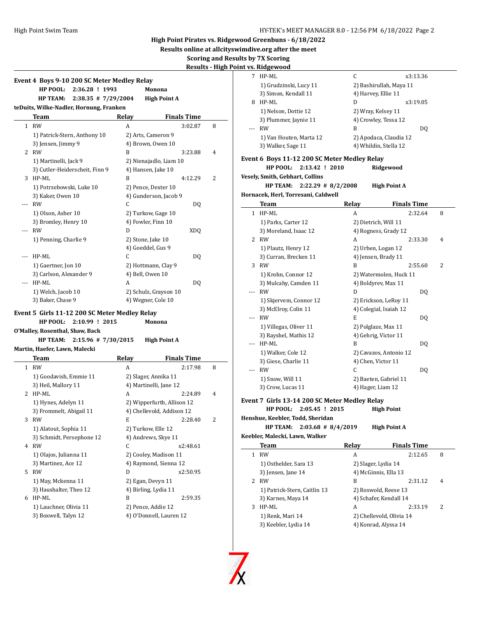**Results online at allcityswimdive.org after the meet**

**Scoring and Results by 7X Scoring**

 $\overline{\phantom{0}}$ 

|  | <b>Results - High Point vs. Ridgewood</b> |
|--|-------------------------------------------|
|  |                                           |

|              | Event 4 Boys 9-10 200 SC Meter Medley Relay     |                    |                            |   |
|--------------|-------------------------------------------------|--------------------|----------------------------|---|
|              | HP POOL:<br>2:36.28 ! 1993                      |                    | Monona                     |   |
|              | HP TEAM:<br>$2:38.35$ # 7/29/2004               |                    | <b>High Point A</b>        |   |
|              | teDuits, Wilke-Nadler, Hornung, Franken<br>Team | Relay              | <b>Finals Time</b>         |   |
|              | 1 RW                                            | A                  | 3:02.87                    | 8 |
|              | 1) Patrick-Stern, Anthony 10                    |                    | 2) Arts, Cameron 9         |   |
|              | 3) Jensen, Jimmy 9                              |                    | 4) Brown, Owen 10          |   |
|              | 2 RW                                            | B                  | 3:23.88                    | 4 |
|              | 1) Martinelli, Jack 9                           |                    | 2) Nienajadlo, Liam 10     |   |
|              | 3) Cutler-Heiderscheit, Finn 9                  | 4) Hansen, Jake 10 |                            |   |
|              | 3 HP-ML                                         | B                  | 4:12.29                    | 2 |
|              |                                                 |                    |                            |   |
|              | 1) Potrzebowski, Luke 10                        |                    | 2) Pence, Dexter 10        |   |
|              | 3) Kaker, Owen 10                               |                    | 4) Gunderson, Jacob 9      |   |
| ---          | RW                                              | C                  | DQ                         |   |
|              | 1) Olson, Asher 10                              |                    | 2) Turkow, Gage 10         |   |
|              | 3) Bromley, Henry 10                            | 4) Fowler, Finn 10 |                            |   |
|              | <b>RW</b>                                       | D                  | XDQ                        |   |
|              | 1) Penning, Charlie 9                           | 2) Stone, Jake 10  |                            |   |
|              |                                                 | 4) Goeddel, Gus 9  |                            |   |
|              | HP-ML                                           | C.                 | DQ                         |   |
|              | 1) Gaertner, Jon 10                             |                    | 2) Hottmann, Clay 9        |   |
|              | 3) Carlson, Alexander 9                         | 4) Bell, Owen 10   |                            |   |
|              | HP-ML                                           | A                  | DQ                         |   |
|              | 1) Welch, Jacob 10                              |                    | 2) Schulz, Grayson 10      |   |
|              | 3) Baker, Chase 9                               | 4) Wegner, Cole 10 |                            |   |
|              | Event 5 Girls 11-12 200 SC Meter Medley Relay   |                    |                            |   |
|              | HP POOL: 2:10.99 ! 2015                         |                    | Monona                     |   |
|              | O'Malley, Rosenthal, Shaw, Back                 |                    |                            |   |
|              | HP TEAM: 2:15.96 # 7/30/2015                    |                    | <b>High Point A</b>        |   |
|              | Martin, Haefer, Lawn, Malecki                   |                    |                            |   |
|              | Team                                            | Relay              | <b>Finals Time</b>         |   |
| $\mathbf{1}$ | RW                                              | A                  | 2:17.98                    | 8 |
|              | 1) Goodavish, Emmie 11                          |                    | 2) Slager, Annika 11       |   |
|              | 3) Heil, Mallory 11                             |                    | 4) Martinelli, Jane 12     |   |
|              | 2 HP-ML                                         | A                  | 2:24.89                    | 4 |
|              | 1) Hynes, Adelyn 11                             |                    | 2) Wipperfurth, Allison 12 |   |
|              | 3) Frommelt, Abigail 11                         |                    | 4) Chellevold, Addison 12  |   |
| 3            | <b>RW</b>                                       | E                  | 2:28.40                    | 2 |
|              |                                                 |                    |                            |   |
|              | 1) Alatout, Sophia 11                           | 2) Turkow, Elle 12 |                            |   |
|              | 3) Schmidt, Persephone 12                       |                    | 4) Andrews, Skye 11        |   |
| 4            | RW                                              | С                  | x2:48.61                   |   |
|              | 1) Olajos, Julianna 11                          |                    | 2) Cooley, Madison 11      |   |
|              | 3) Martinez, Ace 12                             |                    | 4) Raymond, Sienna 12      |   |
|              | 5 RW                                            | D                  | x2:50.95                   |   |
|              | 1) May, Mckenna 11                              | 2) Egan, Devyn 11  |                            |   |
|              | 3) Haushalter, Theo 12                          |                    | 4) Birling, Lydia 11       |   |
| 6            | HP-ML                                           | B                  | 2:59.35                    |   |
|              | 1) Lauchner, Olivia 11                          | 2) Pence, Addie 12 |                            |   |
|              | 3) Boxwell, Talyn 12                            |                    | 4) O'Donnell, Lauren 12    |   |

|                | <u>nt vs. Ridgewood</u>                        |              |                          |   |
|----------------|------------------------------------------------|--------------|--------------------------|---|
|                | 7 HP-ML                                        | C            | x3:13.36                 |   |
|                | 1) Grudzinski, Lucy 11                         |              | 2) Bashirullah, Maya 11  |   |
|                | 3) Simon, Kendall 11                           |              | 4) Harvey, Ellie 11      |   |
| 8              | HP-ML                                          | D            | x3:19.05                 |   |
|                | 1) Nelson, Dottie 12                           |              | 2) Wray, Kelsey 11       |   |
|                | 3) Plummer, Jaynie 11                          |              | 4) Crowley, Tessa 12     |   |
| $\overline{a}$ | <b>RW</b>                                      | B            | DQ                       |   |
|                | 1) Van Houten, Marta 12                        |              | 2) Apodaca, Claudia 12   |   |
|                | 3) Walker, Sage 11                             |              | 4) Whildin, Stella 12    |   |
|                |                                                |              |                          |   |
|                | Event 6  Boys 11-12 200 SC Meter Medley Relay  |              |                          |   |
|                | HP POOL:<br>2:13.42 ! 2010                     |              | Ridgewood                |   |
|                | Vesely, Smith, Gebhart, Collins                |              |                          |   |
|                | $2:22.29$ # 8/2/2008<br><b>HP TEAM:</b>        |              | <b>High Point A</b>      |   |
|                | Hornacek, Herl, Torresani, Caldwell            |              |                          |   |
|                | Team                                           | <b>Relay</b> | <b>Finals Time</b>       |   |
|                | 1 HP-ML                                        | A            | 2:32.64                  | 8 |
|                | 1) Parks, Carter 12                            |              | 2) Dietrich, Will 11     |   |
|                | 3) Moreland, Isaac 12                          |              | 4) Rogness, Grady 12     |   |
|                | 2 RW                                           | A            | 2:33.30                  | 4 |
|                | 1) Plautz, Henry 12                            |              | 2) Urben, Logan 12       |   |
|                | 3) Curran, Brecken 11                          |              | 4) Jensen, Brady 11      |   |
| 3              | RW                                             | B            | 2:55.60                  | 2 |
|                | 1) Krohn, Connor 12                            |              | 2) Watermolen, Huck 11   |   |
|                | 3) Mulcahy, Camden 11                          |              | 4) Boldyrev, Max 11      |   |
| ---            | <b>RW</b>                                      | D            | DQ                       |   |
|                | 1) Skjervem, Connor 12                         |              | 2) Erickson, LeRoy 11    |   |
|                | 3) McElroy, Colin 11                           |              | 4) Colegial, Isaiah 12   |   |
| ---            | RW                                             | E            | DQ                       |   |
|                | 1) Villegas, Oliver 11                         |              | 2) Polglaze, Max 11      |   |
|                | 3) Rayshel, Mathis 12                          |              | 4) Gehrig, Victor 11     |   |
|                | HP-ML                                          | B            | DQ                       |   |
|                | 1) Walker, Cole 12                             |              | 2) Cavazos, Antonio 12   |   |
|                | 3) Giese, Charlie 11                           |              | 4) Chen, Victor 11       |   |
| ---            | <b>RW</b>                                      | C            | DQ                       |   |
|                | 1) Snow, Will 11                               |              | 2) Baeten, Gabriel 11    |   |
|                | 3) Crow, Lucas 11                              |              | 4) Hager, Liam 12        |   |
|                | Event 7  Girls 13-14 200 SC Meter Medley Relay |              |                          |   |
|                | HP POOL:<br>2:05.45 ! 2015                     |              | <b>High Point</b>        |   |
|                | Henshue, Keebler, Todd, Sheridan               |              |                          |   |
|                | <b>HP TEAM:</b><br>$2:03.68$ # 8/4/2019        |              | <b>High Point A</b>      |   |
|                | Keebler, Malecki, Lawn, Walker                 |              |                          |   |
|                | <b>Team</b>                                    | <b>Relay</b> | <b>Finals Time</b>       |   |
| $\mathbf{1}$   | RW                                             | A            | 2:12.65                  | 8 |
|                | 1) Osthelder, Sara 13                          |              | 2) Slager, Lydia 14      |   |
|                | 3) Jensen, Jane 14                             |              | 4) McGinnis, Ella 13     |   |
|                | 2 RW                                           | B            | 2:31.12                  | 4 |
|                | 1) Patrick-Stern, Caitlin 13                   |              | 2) Roswold, Reese 13     |   |
|                | 3) Karnes, Maya 14                             |              | 4) Schafer, Kendall 14   |   |
| 3              | HP-ML                                          | A            | 2:33.19                  | 2 |
|                | 1) Renk, Mari 14                               |              | 2) Chellevold, Olivia 14 |   |

3) Keebler, Lydia 14 4) Konrad, Alyssa 14

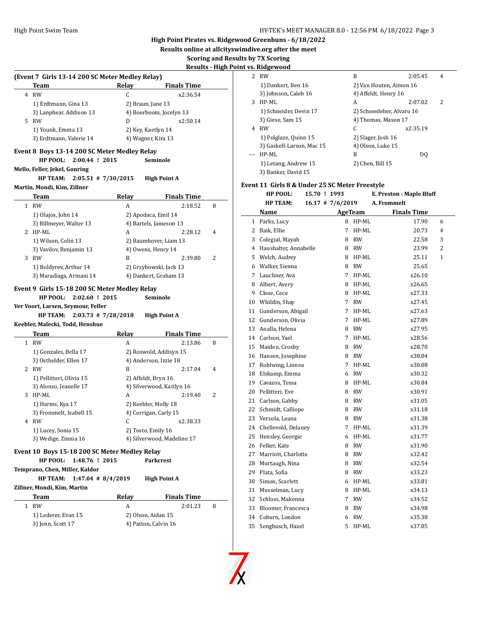**Results online at allcityswimdive.org after the meet**

**Scoring and Results by 7X Scoring**

|   |                                                 |              |                            |   | Results - High Point vs. Ridg |
|---|-------------------------------------------------|--------------|----------------------------|---|-------------------------------|
|   | (Event 7 Girls 13-14 200 SC Meter Medley Relay) |              |                            |   | 2 RW                          |
|   | Team                                            | Relay        | <b>Finals Time</b>         |   | 1) l                          |
|   | 4 RW                                            | C            | x2:36.54                   |   | 3) J                          |
|   | 1) Erdtmann, Gina 13                            |              | 2) Braun, Jane 13          |   | 3 HP-                         |
|   | 3) Lanphear, Addison 13                         |              | 4) Boerboom, Jocelyn 13    |   | $1)$ :                        |
|   | 5 RW                                            | D            | x2:50.14                   |   | 3) (                          |
|   | 1) Younk, Emma 13                               |              | 2) Key, Kaetlyn 14         |   | 4 RW                          |
|   | 3) Erdtmann, Valerie 14                         |              | 4) Wagner, Kira 13         |   | 1) l                          |
|   | Event 8 Boys 13-14 200 SC Meter Medley Relay    |              |                            |   | $3)$ $($                      |
|   | HP POOL: 2:00.44 ! 2015                         |              | Seminole                   |   | HP-                           |
|   | Mello, Feller, Jekel, Gonring                   |              |                            |   | 1) l                          |
|   | $2:05.51$ # 7/30/2015                           |              |                            |   | 3) I                          |
|   | <b>HP TEAM:</b>                                 |              | <b>High Point A</b>        |   | Event 11                      |
|   | Martin, Mondi, Kim, Zillner                     |              |                            |   |                               |
|   | Team                                            | Relay        | <b>Finals Time</b>         |   |                               |
|   | 1 RW                                            | A            | 2:18.52                    | 8 |                               |
|   | 1) Olajos, John 14                              |              | 2) Apodaca, Emil 14        |   | Na:                           |
|   | 3) Billmeyer, Walter 13                         |              | 4) Bartels, Jameson 13     |   | 1 Par                         |
|   | 2 HP-ML                                         | A            | 2:28.12                    | 4 | 2<br>Bai                      |
|   | 1) Wilson, Colin 13                             |              | 2) Baumhover, Liam 13      |   | 3 Col                         |
|   | 3) Vavilov, Benjamin 13                         |              | 4) Owens, Henry 14         |   | 4 Hau                         |
|   | 3 RW                                            | B            | 2:39.80                    | 2 | 5<br>We.                      |
|   | 1) Boldyrev, Arthur 14                          |              | 2) Grzybowski, Jack 13     |   | 6 Wa                          |
|   | 3) Maradiaga, Armani 14                         |              | 4) Dankert, Graham 13      |   | 7 Lau                         |
|   | Event 9 Girls 15-18 200 SC Meter Medley Relay   |              |                            |   | 8<br>Alb                      |
|   | HP POOL:<br>2:02.60 ! 2015                      |              | Seminole                   |   | 9<br>Clo.                     |
|   | Ver Voort, Larsen, Seymour, Feller              |              |                            |   | 10 Wh                         |
|   | $2:03.73$ # 7/28/2018<br><b>HP TEAM:</b>        |              | <b>High Point A</b>        |   | 11 Gur                        |
|   | Keebler, Malecki, Todd, Henshue                 |              |                            |   | 12<br>Gur                     |
|   | Team                                            | <b>Relay</b> | <b>Finals Time</b>         |   | 13<br>Ana                     |
|   | 1 RW                                            | A            | 2:13.86                    | 8 | 14 Car                        |
|   |                                                 |              |                            |   | 15<br>Mai                     |
|   | 1) Gonzales, Bella 17                           |              | 2) Roswold, Addisyn 15     |   | 16 Har                        |
|   | 3) Osthelder, Ellen 17                          |              | 4) Anderson, Izzie 18      |   | 17 Roh                        |
|   | 2 RW                                            | B            | 2:17.04                    | 4 | 18 Elsl                       |
|   | 1) Pellitteri, Olivia 15                        |              | 2) Affeldt, Bryn 16        |   | 19 Cav                        |
|   | 3) Alonso, Jeanelle 17                          |              | 4) Silverwood, Kaitlyn 16  |   | 20 Pell                       |
| 3 | HP-ML                                           | A            | 2:19.40                    | 2 | 21 Car                        |
|   | 1) Harms, Kya 17                                |              | 2) Keebler, Molly 18       |   | 22 Sch                        |
|   | 3) Frommelt, Isabell 15                         |              | 4) Corrigan, Carly 15      |   | 23<br>Ver                     |
|   | 4 RW                                            | C            | x2:38.33                   |   | 24<br>Ch <sub>6</sub>         |
|   | 1) Lucey, Sonia 15                              |              | 2) Tosto, Emily 16         |   | 25<br>Her                     |
|   | 3) Wedige, Zinnia 16                            |              | 4) Silverwood, Madeline 17 |   | 26<br>Fell                    |
|   | Event 10 Boys 15-18 200 SC Meter Medley Relay   |              |                            |   | 27<br>Ma                      |
|   | HP POOL:<br>1:48.76 ! 2015                      |              | <b>Parkcrest</b>           |   | 28<br>Mu                      |
|   | Temprano, Chen, Miller, Kaldor                  |              |                            |   | 29                            |
|   | <b>HP TEAM:</b><br>$1:47.04$ # 8/4/2019         |              | <b>High Point A</b>        |   | Pla                           |
|   | Zillner, Mondi, Kim, Martin                     |              |                            |   | 30<br>Sim                     |
|   | Team                                            | <b>Relay</b> | <b>Finals Time</b>         |   | 31 Mu                         |
|   | 1 RW                                            | A            | 2:01.23                    | 8 | 32<br>Sch                     |
|   | 1) Lederer, Evan 15                             |              | 2) Olson, Aidan 15         |   | 33 Blo                        |
|   | 3) Jenn, Scott 17                               |              | 4) Patton, Calvin 16       |   | 34 Cob                        |
|   |                                                 |              |                            |   | $35$ Sen                      |

|     | 7S. KIdgewood             |                           |          |   |
|-----|---------------------------|---------------------------|----------|---|
| 2   | <b>RW</b>                 | B                         | 2:05.45  | 4 |
|     | 1) Dankert, Ben 16        | 2) Van Houten, Aimon 16   |          |   |
|     | 3) Johnson, Caleb 16      | 4) Affeldt, Henry 16      |          |   |
| 3   | HP-ML                     | A                         | 2:07.02  | 2 |
|     | 1) Schneider, Devin 17    | 2) Schoenleber, Alvaro 16 |          |   |
|     | 3) Giese, Sam 15          | 4) Thomas, Mason 17       |          |   |
| 4   | <b>RW</b>                 | C                         | x2:35.19 |   |
|     | 1) Polglaze, Quinn 15     | 2) Slager, Josh 16        |          |   |
|     | 3) Gaskell-Larson, Mac 15 | 4) Olson, Luke 15         |          |   |
| --- | HP-ML                     | В                         | DO.      |   |
|     | 1) Letang, Andrew 15      | 2) Chen, Bill 15          |          |   |
|     | 3) Banker, David 15       |                           |          |   |

#### **Event 11 Girls 8 & Under 25 SC Meter Freestyle**

|              | HP POOL:                | 15.70 ! 1993 |                      |           | E. Preston - Maple Bluff |   |
|--------------|-------------------------|--------------|----------------------|-----------|--------------------------|---|
|              | <b>HP TEAM:</b>         |              | $16.17 \pm 7/6/2019$ |           | A. Frommelt              |   |
|              | Name                    |              |                      | AgeTeam   | <b>Finals Time</b>       |   |
| $\mathbf{1}$ | Parks, Lucy             |              |                      | 8 HP-ML   | 17.90                    | 6 |
| 2            | Baik, Ellie             |              | 7                    | $HP-ML$   | 20.73                    | 4 |
| 3            | Colegial, Mayah         |              |                      | 8 RW      | 22.58                    | 3 |
|              | 4 Haushalter, Annabelle |              |                      | 8 RW      | 23.99                    | 2 |
| 5            | Welch, Audrey           |              |                      | 8 HP-ML   | 25.11                    | 1 |
|              | 6 Walker, Sienna        |              |                      | 8 RW      | 25.65                    |   |
|              | 7 Lauchner, Ava         |              |                      | 7 HP-ML   | x26.10                   |   |
| 8            | Albert, Avery           |              |                      | 8 HP-ML   | x26.65                   |   |
| 9            | Close, Cece             |              |                      | 8 HP-ML   | x27.33                   |   |
| 10           | Whildin, Shay           |              | $7^{\circ}$          | RW        | x27.45                   |   |
| 11           | Gunderson, Abigail      |              | $7^{\circ}$          | HP-ML     | x27.63                   |   |
| 12           | Gunderson, Olivia       |              | 7                    | $HP-ML$   | x27.89                   |   |
| 13           | Analla. Helena          |              | 8                    | <b>RW</b> | x27.95                   |   |
| 14           | Carlson, Yael           |              | $7^{\circ}$          | HP-ML     | x28.56                   |   |
| 15           | Maiden, Crosby          |              |                      | 8 RW      | x28.70                   |   |
| 16           | Hansen, Josephine       |              |                      | 8 RW      | x30.04                   |   |
| 17           | Rohlwing, Linnea        |              | 7                    | $HP-ML$   | x30.08                   |   |
| 18           | Elskamp, Emma           |              |                      | 6 RW      | x30.32                   |   |
| 19           | Cavazos, Tessa          |              | 8                    | HP-ML     | x30.84                   |   |
| 20           | Pellitteri, Eve         |              | 8                    | <b>RW</b> | x30.91                   |   |
| 21           | Carlson, Gabby          |              | 8.                   | <b>RW</b> | x31.05                   |   |
| 22           | Schmidt, Calliope       |              | 8                    | <b>RW</b> | x31.18                   |   |
| 23           | Verzola, Leana          |              | 8                    | <b>RW</b> | x31.38                   |   |
| 24           | Chellevold, Delaney     |              | 7                    | $HP-ML$   | x31.39                   |   |
| 25           | Hensley, Georgie        |              |                      | 6 HP-ML   | x31.77                   |   |
| 26           | Felker, Kate            |              | 8                    | <b>RW</b> | x31.90                   |   |
| 27           | Marriott, Charlotte     |              | 8                    | <b>RW</b> | x32.42                   |   |
| 28           | Murtaugh, Nina          |              | 8                    | <b>RW</b> | x32.54                   |   |
| 29           | Plata, Sofia            |              | 8.                   | RW        | x33.23                   |   |
| 30           | Simon, Scarlett         |              |                      | 6 HP-ML   | x33.81                   |   |
| 31           | Musselman, Lucy         |              |                      | 8 HP-ML   | x34.13                   |   |
| 32           | Schloss, Makenna        |              | 7                    | <b>RW</b> | x34.52                   |   |
| 33           | Bloomer, Francesca      |              |                      | 8 RW      | x34.98                   |   |
| 34           | Coburn. London          |              |                      | 6 RW      | x35.30                   |   |
| 35           | Sengbusch, Hazel        |              | 5                    | HP-ML     | x37.05                   |   |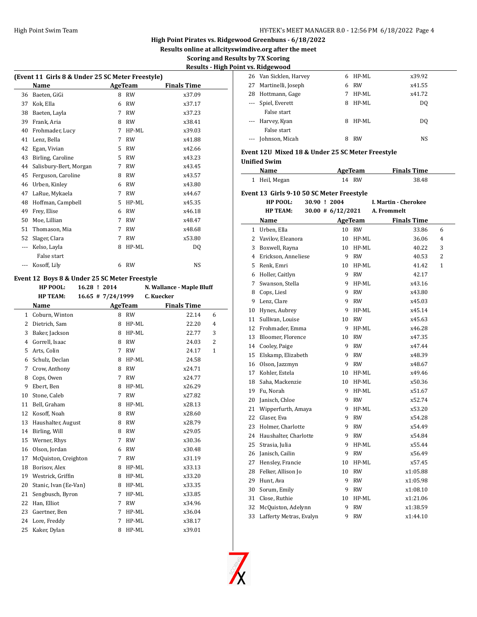**Results online at allcityswimdive.org after the meet**

### **Scoring and Results by 7X Scoring Results - High Point vs. Ridgewood**

|     | (Event 11 Girls 8 & Under 25 SC Meter Freestyle) |   |           |                    |  |
|-----|--------------------------------------------------|---|-----------|--------------------|--|
|     | Name                                             |   | AgeTeam   | <b>Finals Time</b> |  |
| 36  | Baeten, GiGi                                     | 8 | <b>RW</b> | x37.09             |  |
| 37  | Kok, Ella                                        | 6 | <b>RW</b> | x37.17             |  |
| 38  | Baeten, Layla                                    | 7 | <b>RW</b> | x37.23             |  |
| 39  | Frank, Aria                                      | 8 | <b>RW</b> | x38.41             |  |
| 40  | Frohmader, Lucy                                  | 7 | HP-ML     | x39.03             |  |
| 41  | Lenz, Bella                                      | 7 | <b>RW</b> | x41.88             |  |
| 42  | Egan, Vivian                                     | 5 | <b>RW</b> | x42.66             |  |
| 43  | Birling, Caroline                                | 5 | <b>RW</b> | x43.23             |  |
| 44  | Salisbury-Bert, Morgan                           | 7 | <b>RW</b> | x43.45             |  |
| 45  | Ferguson, Caroline                               | 8 | <b>RW</b> | x43.57             |  |
| 46  | Urben, Kinley                                    | 6 | <b>RW</b> | x43.80             |  |
| 47  | LaRue, Mykaela                                   | 7 | <b>RW</b> | x44.67             |  |
| 48  | Hoffman, Campbell                                | 5 | HP-ML     | x45.35             |  |
| 49  | Frey, Elise                                      | 6 | <b>RW</b> | x46.18             |  |
| 50  | Moe, Lillian                                     | 7 | <b>RW</b> | x48.47             |  |
| 51  | Thomason, Mia                                    | 7 | <b>RW</b> | x48.68             |  |
| 52  | Slager, Clara                                    | 7 | <b>RW</b> | x53.80             |  |
| --- | Kelso, Layla                                     | 8 | HP-ML     | DQ                 |  |
|     | False start                                      |   |           |                    |  |
| --- | Kosoff, Lily                                     | 6 | <b>RW</b> | <b>NS</b>          |  |

## **Event 12 Boys 8 & Under 25 SC Meter Freestyle**

|                | HP POOL:              |  | 16.28 ! 2014        |                | N. Wallance - Maple Bluff |                |
|----------------|-----------------------|--|---------------------|----------------|---------------------------|----------------|
|                | <b>HP TEAM:</b>       |  | $16.65$ # 7/24/1999 |                | C. Kuecker                |                |
|                | Name                  |  |                     | <b>AgeTeam</b> | <b>Finals Time</b>        |                |
| 1              | Coburn, Winton        |  |                     | 8 RW           | 22.14                     | 6              |
| 2              | Dietrich, Sam         |  | 8                   | $HP-ML$        | 22.20                     | $\overline{4}$ |
| 3              | Baker, Jackson        |  | 8                   | HP-ML          | 22.77                     | 3              |
| $\overline{4}$ | Gorrell, Isaac        |  | 8                   | <b>RW</b>      | 24.03                     | 2              |
| 5              | Arts, Colin           |  | 7                   | <b>RW</b>      | 24.17                     | 1              |
| 6              | Schulz, Declan        |  | 8                   | HP-ML          | 24.58                     |                |
| 7              | Crow, Anthony         |  | 8                   | <b>RW</b>      | x24.71                    |                |
| 8              | Cops, Owen            |  | 7                   | <b>RW</b>      | x24.77                    |                |
| 9              | Ebert, Ben            |  | 8                   | $HP-ML$        | x26.29                    |                |
| 10             | Stone, Caleb          |  | 7                   | <b>RW</b>      | x27.82                    |                |
| 11             | Bell, Graham          |  | 8                   | $HP-ML$        | x28.13                    |                |
| 12             | Kosoff, Noah          |  | 8                   | <b>RW</b>      | x28.60                    |                |
| 13             | Haushalter, August    |  | 8                   | RW             | x28.79                    |                |
| 14             | Birling, Will         |  | 8                   | <b>RW</b>      | x29.05                    |                |
| 15             | Werner, Rhys          |  | 7                   | <b>RW</b>      | x30.36                    |                |
| 16             | Olson, Jordan         |  | 6                   | <b>RW</b>      | x30.48                    |                |
| 17             | McQuiston, Creighton  |  | 7                   | <b>RW</b>      | x31.19                    |                |
| 18             | Borisov, Alex         |  | 8                   | $HP-ML$        | x33.13                    |                |
| 19             | Westrick, Griffin     |  | 8                   | $HP-ML$        | x33.20                    |                |
| 20             | Stanic, Ivan (Ee-Van) |  | 8                   | HP-ML          | x33.35                    |                |
| 21             | Sengbusch, Byron      |  | 7                   | HP-ML          | x33.85                    |                |
| 22             | Han, Elliot           |  | 7                   | <b>RW</b>      | x34.96                    |                |
| 23             | Gaertner, Ben         |  | 7                   | HP-ML          | x36.04                    |                |
| 24             | Lore, Freddy          |  | 7                   | HP-ML          | x38.17                    |                |
| 25             | Kaker, Dylan          |  | 8                   | HP-ML          | x39.01                    |                |
|                |                       |  |                     |                |                           |                |

|    | t vs. Kiugewoou        |    |           |        |  |
|----|------------------------|----|-----------|--------|--|
|    | 26 Van Sicklen, Harvey | 6. | HP-ML     | x39.92 |  |
|    | 27 Martinelli, Joseph  | 6  | RW        | x41.55 |  |
| 28 | Hottmann, Gage         | 7  | HP-ML     | x41.72 |  |
|    | --- Spiel, Everett     | 8  | HP-ML     | DO.    |  |
|    | False start            |    |           |        |  |
|    | --- Harvey, Kyan       | 8  | HP-ML     | DO.    |  |
|    | False start            |    |           |        |  |
|    | Johnson, Micah         | 8  | <b>RW</b> | NS     |  |
|    |                        |    |           |        |  |

### **Event 12U Mixed 18 & Under 25 SC Meter Freestyle**

# **Unified Swim**

|    | Unified Swim<br>Name                      |                      | <b>AgeTeam</b> | <b>Finals Time</b>   |                |
|----|-------------------------------------------|----------------------|----------------|----------------------|----------------|
|    | 1 Heil, Megan                             |                      | 14 RW          | 38.48                |                |
|    | Event 13 Girls 9-10 50 SC Meter Freestyle |                      |                |                      |                |
|    | HP POOL:                                  | 30.90 ! 2004         |                | I. Martin - Cherokee |                |
|    | <b>HP TEAM:</b>                           | $30.00 \# 6/12/2021$ |                | A. Frommelt          |                |
|    | Name                                      |                      | AgeTeam        | <b>Finals Time</b>   |                |
|    | 1 Urben, Ella                             |                      | 10 RW          | 33.86                | 6              |
|    | 2 Vavilov, Eleanora                       |                      | 10 HP-ML       | 36.06                | $\overline{4}$ |
|    | 3 Boxwell, Rayna                          |                      | 10 HP-ML       | 40.22                | 3              |
|    | 4 Erickson, Anneliese                     |                      | 9 RW           | 40.53                | 2              |
| 5  | Renk, Emri                                |                      | 10 HP-ML       | 41.42                | 1              |
|    | 6 Holler, Caitlyn                         |                      | 9 RW           | 42.17                |                |
|    | 7 Swanson, Stella                         |                      | 9 HP-ML        | x43.16               |                |
|    | 8 Cops, Liesl                             |                      | 9 RW           | x43.80               |                |
| 9  | Lenz, Clare                               |                      | 9 RW           | x45.03               |                |
| 10 | Hynes, Aubrey                             |                      | 9 HP-ML        | x45.14               |                |
|    | 11 Sullivan, Louise                       |                      | 10 RW          | x45.63               |                |
|    | 12 Frohmader, Emma                        |                      | 9 HP-ML        | x46.28               |                |
|    | 13 Bloomer, Florence                      |                      | 10 RW          | x47.35               |                |
|    | 14 Cooley, Paige                          |                      | 9 RW           | x47.44               |                |
| 15 | Elskamp, Elizabeth                        |                      | 9 RW           | x48.39               |                |
|    | 16 Olson, Jazzmyn                         |                      | 9 RW           | x48.67               |                |
|    | 17 Kohler, Estela                         |                      | 10 HP-ML       | x49.46               |                |
|    | 18 Saha, Mackenzie                        |                      | 10 HP-ML       | x50.36               |                |
|    | 19 Fu, Norah                              |                      | 9 HP-ML        | x51.67               |                |
|    | 20 Janisch, Chloe                         |                      | 9 RW           | x52.74               |                |
| 21 | Wipperfurth, Amaya                        |                      | 9 HP-ML        | x53.20               |                |
|    | 22 Glaser, Eva                            |                      | 9 RW           | x54.28               |                |
|    | 23 Holmer, Charlotte                      |                      | 9 RW           | x54.49               |                |
|    | 24 Haushalter, Charlotte                  |                      | 9 RW           | x54.84               |                |
| 25 | Strasia, Julia                            |                      | 9 HP-ML        | x55.44               |                |
|    | 26 Janisch, Cailin                        |                      | 9 RW           | x56.49               |                |
| 27 | Hensley, Francie                          |                      | 10 HP-ML       | x57.45               |                |
| 28 | Felker, Allison Jo                        |                      | 10 RW          | x1:05.88             |                |
| 29 | Hunt, Ava                                 |                      | 9 RW           | x1:05.98             |                |
| 30 | Sorum, Emily                              | 9.                   | <b>RW</b>      | x1:08.10             |                |
|    | 31 Close, Ruthie                          |                      | 10 HP-ML       | x1:21.06             |                |
| 32 | McQuiston, Adelynn                        |                      | 9 RW           | x1:38.59             |                |
| 33 | Lafferty Metras, Evalyn                   | 9                    | RW             | x1:44.10             |                |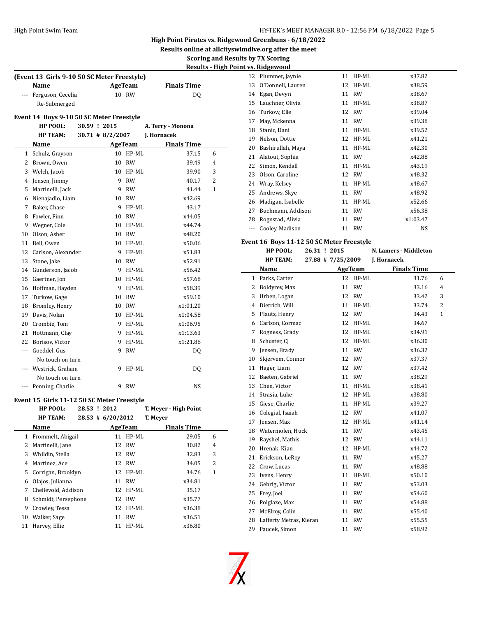**Results online at allcityswimdive.org after the meet**

**Scoring and Results by 7X Scoring Results - High Point vs. Ridgewood**

|                | (Event 13 Girls 9-10 50 SC Meter Freestyle) |                    |                    |                       |                |
|----------------|---------------------------------------------|--------------------|--------------------|-----------------------|----------------|
|                | Name                                        |                    | AgeTeam            | <b>Finals Time</b>    |                |
|                | Ferguson, Cecelia                           |                    | 10 RW              | DQ                    |                |
|                | Re-Submerged                                |                    |                    |                       |                |
|                | Event 14  Boys 9-10 50 SC Meter Freestyle   |                    |                    |                       |                |
|                | HP POOL:                                    | 30.59 ! 2015       |                    | A. Terry - Monona     |                |
|                | <b>HP TEAM:</b>                             | $30.71$ # 8/2/2007 |                    | J. Hornacek           |                |
|                | Name                                        |                    | AgeTeam            | <b>Finals Time</b>    |                |
| $\mathbf{1}$   | Schulz, Grayson                             | 10                 | HP-ML              | 37.15                 | 6              |
| $\overline{2}$ | Brown, Owen                                 | 10                 | <b>RW</b>          | 39.49                 | $\overline{4}$ |
| 3              | Welch, Jacob                                | 10                 | HP-ML              | 39.90                 | 3              |
|                | 4 Jensen, Jimmy                             | 9                  | <b>RW</b>          | 40.17                 | $\overline{2}$ |
| 5              | Martinelli, Jack                            | 9                  | <b>RW</b>          | 41.44                 | $\mathbf{1}$   |
| 6              | Nienajadlo, Liam                            | 10                 | <b>RW</b>          | x42.69                |                |
| $\overline{7}$ | Baker, Chase                                | 9                  | HP-ML              | 43.17                 |                |
| 8              | Fowler, Finn                                | 10                 | <b>RW</b>          | x44.05                |                |
| 9              | Wegner, Cole                                | 10                 | HP-ML              | x44.74                |                |
|                | 10 Olson, Asher                             | 10                 | <b>RW</b>          | x48.20                |                |
| 11             |                                             | 10                 | HP-ML              | x50.06                |                |
| 12             | Bell, Owen                                  | 9                  |                    |                       |                |
| 13             | Carlson, Alexander                          | 10                 | HP-ML<br><b>RW</b> | x51.83<br>x52.91      |                |
|                | Stone, Jake                                 |                    |                    |                       |                |
| 14             | Gunderson, Jacob                            | 9                  | HP-ML              | x56.42                |                |
| 15             | Gaertner, Jon                               | 10                 | HP-ML              | x57.68                |                |
| 16             | Hoffman, Hayden                             | 9                  | HP-ML              | x58.39                |                |
| 17             | Turkow, Gage                                | 10                 | <b>RW</b>          | x59.10                |                |
| 18             | Bromley, Henry                              | 10                 | <b>RW</b>          | x1:01.20              |                |
| 19             | Davis, Nolan                                | 10                 | HP-ML              | x1:04.58              |                |
| 20             | Crombie, Tom                                | 9                  | HP-ML              | x1:06.95              |                |
| 21<br>22       | Hottmann, Clay                              | 9                  | HP-ML              | x1:13.63              |                |
|                | Borisov, Victor                             | 9                  | HP-ML              | x1:21.86              |                |
| ---            | Goeddel, Gus                                | 9                  | <b>RW</b>          | DQ                    |                |
|                | No touch on turn                            |                    |                    |                       |                |
| $---$          | Westrick, Graham                            | 9                  | HP-ML              | DQ                    |                |
|                | No touch on turn                            |                    |                    |                       |                |
|                | Penning, Charlie                            | 9                  | <b>RW</b>          | NS                    |                |
|                | Event 15 Girls 11-12 50 SC Meter Freestyle  |                    |                    |                       |                |
|                | HP POOL:                                    | 28.53 ! 2012       |                    | T. Meyer - High Point |                |
|                | <b>HP TEAM:</b>                             | 28.53 # 6/20/2012  |                    | T. Meyer              |                |
|                | Name                                        |                    | AgeTeam            | <b>Finals Time</b>    |                |
| $\mathbf{1}$   | Frommelt, Abigail                           | 11                 | HP-ML              | 29.05                 | 6              |
| 2              | Martinelli, Jane                            | 12                 | <b>RW</b>          | 30.82                 | $\overline{4}$ |
| 3              | Whildin, Stella                             | 12                 | <b>RW</b>          | 32.83                 | 3              |
| $\overline{4}$ | Martinez, Ace                               | 12                 | <b>RW</b>          | 34.05                 | $\overline{2}$ |
| 5              | Corrigan, Brooklyn                          | 12                 | HP-ML              | 34.76                 | $\mathbf{1}$   |

 Olajos, Julianna 11 RW x34.81 Chellevold, Addison 12 HP-ML 35.17 8 Schmidt, Persephone 12 RW x35.77 9 Crowley, Tessa 12 HP-ML x36.38 Walker, Sage 11 RW x36.51 Harvey, Ellie 11 HP-ML x36.80

|    | vs. riugewoou     |    |           |          |  |
|----|-------------------|----|-----------|----------|--|
| 12 | Plummer, Jaynie   | 11 | HP-ML     | x37.82   |  |
| 13 | O'Donnell, Lauren | 12 | $HP-ML$   | x38.59   |  |
| 14 | Egan, Devyn       | 11 | <b>RW</b> | x38.67   |  |
| 15 | Lauchner, Olivia  | 11 | $HP-ML$   | x38.87   |  |
| 16 | Turkow, Elle      | 12 | <b>RW</b> | x39.04   |  |
| 17 | May, Mckenna      | 11 | RW        | x39.38   |  |
| 18 | Stanic, Dani      | 11 | $HP-ML$   | x39.52   |  |
| 19 | Nelson, Dottie    | 12 | $HP-ML$   | x41.21   |  |
| 20 | Bashirullah, Maya | 11 | $HP-ML$   | x42.30   |  |
| 21 | Alatout, Sophia   | 11 | <b>RW</b> | x42.88   |  |
| 22 | Simon, Kendall    | 11 | $HP-ML$   | x43.19   |  |
| 23 | Olson, Caroline   | 12 | <b>RW</b> | x48.32   |  |
| 24 | Wray, Kelsey      | 11 | $HP-ML$   | x48.67   |  |
| 25 | Andrews, Skye     | 11 | <b>RW</b> | x48.92   |  |
| 26 | Madigan, Isabelle | 11 | $HP-ML$   | x52.66   |  |
| 27 | Buchmann, Addison | 11 | <b>RW</b> | x56.38   |  |
| 28 | Rognstad, Alivia  | 11 | <b>RW</b> | x1:03.47 |  |
|    | Cooley, Madison   | 11 | <b>RW</b> | NS       |  |
|    |                   |    |           |          |  |

#### **Event 16 Boys 11-12 50 SC Meter Freestyle**

|    | HP POOL:                | 26.31 ! 2015 |                   |           | N. Lamers - Middleton |                |
|----|-------------------------|--------------|-------------------|-----------|-----------------------|----------------|
|    | <b>HP TEAM:</b>         |              | 27.88 # 7/25/2009 |           | J. Hornacek           |                |
|    | Name                    |              |                   | AgeTeam   | <b>Finals Time</b>    |                |
| 1  | Parks, Carter           |              | 12                | HP-ML     | 31.76                 | 6              |
| 2  | Boldyrev, Max           |              | 11                | <b>RW</b> | 33.16                 | $\overline{4}$ |
| 3  | Urben, Logan            |              | 12                | <b>RW</b> | 33.42                 | 3              |
| 4  | Dietrich, Will          |              | 11                | HP-ML     | 33.74                 | $\overline{2}$ |
| 5  | Plautz, Henry           |              | 12                | <b>RW</b> | 34.43                 | 1              |
| 6  | Carlson, Cormac         |              | 12                | HP-ML     | 34.67                 |                |
| 7  | Rogness, Grady          |              | 12                | HP-ML     | x34.91                |                |
| 8  | Schuster, CI            |              | 12                | HP-ML     | x36.30                |                |
| 9  | Jensen, Brady           |              | 11                | <b>RW</b> | x36.32                |                |
| 10 | Skjervem, Connor        |              | 12                | <b>RW</b> | x37.37                |                |
| 11 | Hager, Liam             |              | 12                | <b>RW</b> | x37.42                |                |
| 12 | Baeten, Gabriel         |              | 11                | <b>RW</b> | x38.29                |                |
| 13 | Chen, Victor            |              | 11                | HP-ML     | x38.41                |                |
| 14 | Strasia, Luke           |              | 12                | HP-ML     | x38.80                |                |
| 15 | Giese, Charlie          |              | 11                | HP-ML     | x39.27                |                |
| 16 | Colegial, Isaiah        |              | 12                | <b>RW</b> | x41.07                |                |
| 17 | Jensen, Max             |              | 12                | HP-ML     | x41.14                |                |
| 18 | Watermolen, Huck        |              | 11                | <b>RW</b> | x43.45                |                |
| 19 | Rayshel, Mathis         |              | 12                | <b>RW</b> | x44.11                |                |
| 20 | Hrenak, Kian            |              | 12                | HP-ML     | x44.72                |                |
| 21 | Erickson, LeRoy         |              | 11                | <b>RW</b> | x45.27                |                |
| 22 | Crow, Lucas             |              | 11                | <b>RW</b> | x48.88                |                |
| 23 | Ivens, Henry            |              | 11                | $HP-ML$   | x50.10                |                |
| 24 | Gehrig, Victor          |              | 11                | <b>RW</b> | x53.03                |                |
| 25 | Frey, Joel              |              | 11                | <b>RW</b> | x54.60                |                |
| 26 | Polglaze, Max           |              | 11                | <b>RW</b> | x54.88                |                |
| 27 | McElroy, Colin          |              | 11                | <b>RW</b> | x55.40                |                |
| 28 | Lafferty Metras, Kieran |              | 11                | <b>RW</b> | x55.55                |                |
| 29 | Paucek, Simon           |              | 11                | <b>RW</b> | x58.92                |                |
|    |                         |              |                   |           |                       |                |

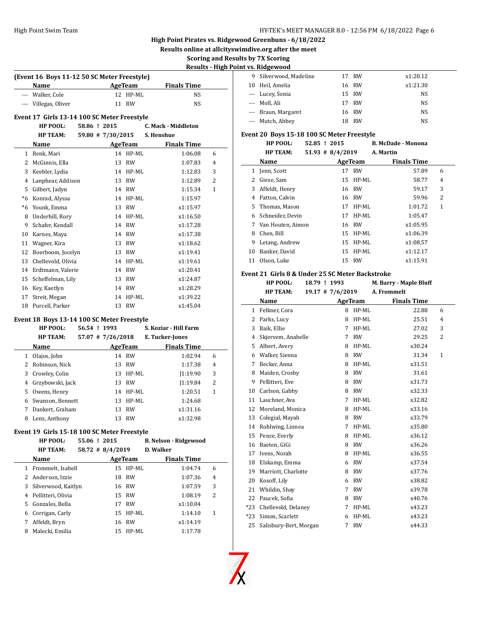$\overline{a}$ 

# **High Point Pirates vs. Ridgewood Greenbuns - 6/18/2022**

**Results online at allcityswimdive.org after the meet**

# **Scoring and Results by 7X Scoring**

**Results - High Point vs. Ridgewood**

| (Event 16 Boys 11-12 50 SC Meter Freestyle) |          |                    |  |  |  |  |  |
|---------------------------------------------|----------|--------------------|--|--|--|--|--|
| Name                                        | AgeTeam  | <b>Finals Time</b> |  |  |  |  |  |
| --- Walker, Cole                            | 12 HP-ML | NS.                |  |  |  |  |  |
| --- Villegas, Oliver                        | 11 RW    | NS.                |  |  |  |  |  |

# **Event 17 Girls 13-14 100 SC Meter Freestyle**

| <b>HP POOL:</b> | 58.86 ! 2015      | C. Mack - Middleton |
|-----------------|-------------------|---------------------|
| <b>HP TEAM:</b> | 59.80 # 7/30/2015 | S. Henshue          |

|      | Name               |    | AgeTeam   | <b>Finals Time</b> |              |  |
|------|--------------------|----|-----------|--------------------|--------------|--|
| 1    | Renk, Mari         | 14 | HP-ML     | 1:06.08            | 6            |  |
| 2    | McGinnis, Ella     | 13 | <b>RW</b> | 1:07.83            | 4            |  |
| 3    | Keebler, Lydia     | 14 | HP-ML     | 1:12.83            | 3            |  |
| 4    | Lanphear, Addison  | 13 | <b>RW</b> | 1:12.89            | 2            |  |
| 5    | Gilbert, Jadyn     |    | 14 RW     | 1:15.34            | $\mathbf{1}$ |  |
| *6   | Konrad, Alyssa     | 14 | HP-ML     | 1:15.97            |              |  |
| $*6$ | Younk, Emma        | 13 | <b>RW</b> | x1:15.97           |              |  |
| 8    | Underhill, Rory    | 14 | HP-ML     | x1:16.50           |              |  |
| 9    | Schafer, Kendall   | 14 | RW        | x1:17.28           |              |  |
| 10   | Karnes, Maya       | 14 | RW        | x1:17.38           |              |  |
| 11   | Wagner, Kira       | 13 | RW        | x1:18.62           |              |  |
| 12   | Boerboom, Jocelyn  |    | 13 RW     | x1:19.41           |              |  |
| 13   | Chellevold, Olivia | 14 | HP-ML     | x1:19.61           |              |  |
| 14   | Erdtmann, Valerie  |    | 14 RW     | x1:20.41           |              |  |
| 15   | Scheffelman, Lily  |    | 13 RW     | x1:24.87           |              |  |
| 16   | Key, Kaetlyn       |    | 14 RW     | x1:28.29           |              |  |
| 17   | Streit, Megan      | 14 | HP-ML     | x1:39.22           |              |  |
| 18   | Purcell, Parker    |    | 13 RW     | x1:45.04           |              |  |

#### **Event 18 Boys 13-14 100 SC Meter Freestyle**

|    | HP POOL:<br><b>HP TEAM:</b> | 56.54 ! 1993 | $57.07$ # 7/26/2018 |           | S. Koziar - Hill Farm<br>E. Tucker-Jones |   |
|----|-----------------------------|--------------|---------------------|-----------|------------------------------------------|---|
|    | Name                        |              |                     | AgeTeam   | <b>Finals Time</b>                       |   |
| 1  | Olajos, John                |              | 14                  | RW        | 1:02.94                                  | 6 |
|    | 2 Robinson, Nick            |              |                     | 13 RW     | 1:17.38                                  | 4 |
| 3  | Crowley, Colin              |              |                     | 13 HP-ML  | 1:19.90                                  | 3 |
| 4  | Grzybowski, Jack            |              | 13                  | RW        | 1:19.84                                  | 2 |
| 5. | Owens, Henry                |              |                     | 14 HP-ML  | 1:20.51                                  | 1 |
| 6  | Swanson, Bennett            |              | 13                  | HP-ML     | 1:24.68                                  |   |
|    | Dankert, Graham             |              | 13                  | RW        | x1:31.16                                 |   |
| 8  | Lenz, Anthony               |              | 13                  | <b>RW</b> | x1:32.98                                 |   |

#### **Event 19 Girls 15-18 100 SC Meter Freestyle**

|    | HP POOL:<br><b>HP TEAM:</b> | 55.06 ! 2015 | $58.72 \pm 8/4/2019$ |           | <b>B. Nelson - Ridgewood</b><br><b>D.</b> Walker |   |
|----|-----------------------------|--------------|----------------------|-----------|--------------------------------------------------|---|
|    | Name                        |              |                      | AgeTeam   | <b>Finals Time</b>                               |   |
|    | Frommelt, Isabell           |              |                      | 15 HP-ML  | 1:04.74                                          | 6 |
|    | Anderson, Izzie             |              | 18                   | <b>RW</b> | 1:07.36                                          | 4 |
| 3  | Silverwood, Kaitlyn         |              |                      | 16 RW     | 1:07.59                                          | 3 |
| 4  | Pellitteri, Olivia          |              |                      | 15 RW     | 1:08.19                                          | 2 |
| 5. | Gonzales, Bella             |              | 17                   | <b>RW</b> | x1:10.04                                         |   |
| 6  | Corrigan, Carly             |              |                      | 15 HP-ML  | 1:14.10                                          | 1 |
| 7  | Affeldt, Bryn               |              |                      | 16 RW     | x1:14.19                                         |   |
| 8  | Malecki, Emilia             |              | 15                   | HP-ML     | 1:17.78                                          |   |

| 9 Silverwood, Madeline |     | 17 RW | x1:20.12 |
|------------------------|-----|-------|----------|
| 10 Heil, Amelia        |     | 16 RW | x1:21.30 |
| --- Lucey, Sonia       |     | 15 RW | NS       |
| --- Moll. Ali          |     | 17 RW | NS.      |
| --- Braun, Margaret    |     | 16 RW | NS       |
| --- Mutch, Abbey       | 18. | - RW  | NS       |
|                        |     |       |          |

## **Event 20 Boys 15-18 100 SC Meter Freestyle**

|    | HP POOL:          |  | 52.85 ! 2015        |          | <b>B. McDade - Monona</b> |   |  |
|----|-------------------|--|---------------------|----------|---------------------------|---|--|
|    | <b>HP TEAM:</b>   |  | $51.93 \# 8/4/2019$ |          | A. Martin                 |   |  |
|    | Name              |  |                     | AgeTeam  | <b>Finals Time</b>        |   |  |
| 1  | Jenn, Scott       |  |                     | 17 RW    | 57.89                     | 6 |  |
| 2  | Giese, Sam        |  |                     | 15 HP-ML | 58.77                     | 4 |  |
| 3  | Affeldt, Henry    |  |                     | 16 RW    | 59.17                     | 3 |  |
| 4  | Patton, Calvin    |  |                     | 16 RW    | 59.96                     | 2 |  |
|    | 5 Thomas, Mason   |  | 17                  | HP-ML    | 1:01.72                   | 1 |  |
| 6  | Schneider, Devin  |  | 17                  | HP-ML    | 1:05.47                   |   |  |
| 7  | Van Houten, Aimon |  | 16                  | RW       | x1:05.95                  |   |  |
| 8  | Chen, Bill        |  |                     | 15 HP-ML | x1:06.39                  |   |  |
| 9  | Letang, Andrew    |  | 15                  | HP-ML    | x1:08.57                  |   |  |
| 10 | Banker, David     |  |                     | 15 HP-ML | x1:12.17                  |   |  |
| 11 | Olson, Luke       |  |                     | 15 RW    | x1:15.91                  |   |  |
|    |                   |  |                     |          |                           |   |  |

#### **Event 21 Girls 8 & Under 25 SC Meter Backstroke**

|                | HP POOL:               | 18.79 ! 1993 |                    |           | M. Barry - Maple Bluff |              |
|----------------|------------------------|--------------|--------------------|-----------|------------------------|--------------|
|                | <b>HP TEAM:</b>        |              | $19.17$ # 7/6/2019 |           | A. Frommelt            |              |
|                | Name                   |              | <b>AgeTeam</b>     |           | <b>Finals Time</b>     |              |
| 1              | Felkner, Cora          |              | 8                  | HP-ML     | 22.88                  | 6            |
| 2              | Parks, Lucy            |              | 8                  | $HP-ML$   | 25.51                  | 4            |
| 3              | Baik, Ellie            |              | 7                  | HP-ML     | 27.02                  | 3            |
| $\overline{4}$ | Skjervem, Anabelle     |              | 7                  | <b>RW</b> | 29.25                  | 2            |
| 5              | Albert, Avery          |              | 8                  | HP-ML     | x30.24                 |              |
| 6              | Walker, Sienna         |              | 8                  | <b>RW</b> | 31.34                  | $\mathbf{1}$ |
| 7              | Becker, Anna           |              | 8                  | $HP-ML$   | x31.51                 |              |
| 8              | Maiden, Crosby         |              | 8                  | <b>RW</b> | 31.61                  |              |
| 9              | Pellitteri, Eve        |              | 8                  | <b>RW</b> | x31.73                 |              |
| 10             | Carlson, Gabby         |              | 8                  | <b>RW</b> | x32.33                 |              |
| 11             | Lauchner, Ava          |              | 7                  | $HP-ML$   | x32.82                 |              |
| 12             | Moreland, Monica       |              | 8                  | $HP-ML$   | x33.16                 |              |
| 13             | Colegial, Mayah        |              | 8                  | RW        | x33.79                 |              |
| 14             | Rohlwing, Linnea       |              | 7                  | $HP-ML$   | x35.80                 |              |
| 15             | Pence, Everly          |              | 8                  | HP-ML     | x36.12                 |              |
| 16             | Baeten, GiGi           |              | 8                  | <b>RW</b> | x36.26                 |              |
| 17             | Ivens, Norah           |              | 8                  | $HP-ML$   | x36.55                 |              |
| 18             | Elskamp, Emma          |              | 6                  | <b>RW</b> | x37.54                 |              |
| 19             | Marriott, Charlotte    |              | 8                  | <b>RW</b> | x37.76                 |              |
| 20             | Kosoff, Lily           |              | 6                  | <b>RW</b> | x38.82                 |              |
| 21             | Whildin, Shay          |              | 7                  | <b>RW</b> | x39.78                 |              |
| 22             | Paucek, Sofia          |              | 8                  | <b>RW</b> | x40.76                 |              |
| $*23$          | Chellevold, Delaney    |              | 7                  | $HP-ML$   | x43.23                 |              |
| $*23$          | Simon, Scarlett        |              | 6                  | HP-ML     | x43.23                 |              |
| 25             | Salisbury-Bert, Morgan |              | 7                  | <b>RW</b> | x44.33                 |              |

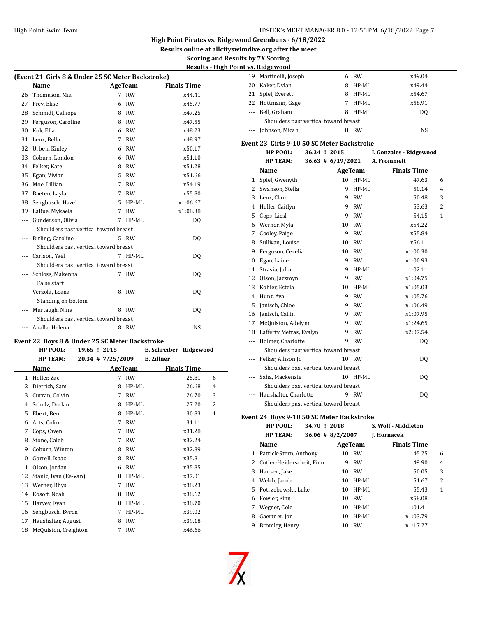**Results online at allcityswimdive.org after the meet**

### **Scoring and Results by 7X Scoring Results - High Point vs. Ridgewood**

|     | (Event 21 Girls 8 & Under 25 SC Meter Backstroke) |   |           |                    |  |
|-----|---------------------------------------------------|---|-----------|--------------------|--|
|     | Name                                              |   | AgeTeam   | <b>Finals Time</b> |  |
| 26  | Thomason, Mia                                     | 7 | <b>RW</b> | x44.41             |  |
| 27  | Frey, Elise                                       | 6 | <b>RW</b> | x45.77             |  |
| 28  | Schmidt, Calliope                                 | 8 | <b>RW</b> | x47.25             |  |
| 29  | Ferguson, Caroline                                | 8 | <b>RW</b> | x47.55             |  |
| 30  | Kok, Ella                                         | 6 | <b>RW</b> | x48.23             |  |
| 31  | Lenz, Bella                                       | 7 | <b>RW</b> | x48.97             |  |
| 32  | Urben, Kinley                                     | 6 | <b>RW</b> | x50.17             |  |
| 33  | Coburn, London                                    | 6 | <b>RW</b> | x51.10             |  |
| 34  | Felker, Kate                                      | 8 | <b>RW</b> | x51.28             |  |
| 35  | Egan, Vivian                                      | 5 | RW        | x51.66             |  |
| 36  | Moe, Lillian                                      | 7 | <b>RW</b> | x54.19             |  |
| 37  | Baeten, Layla                                     | 7 | <b>RW</b> | x55.80             |  |
| 38  | Sengbusch, Hazel                                  | 5 | $HP-ML$   | x1:06.67           |  |
| 39  | LaRue, Mykaela                                    | 7 | <b>RW</b> | x1:08.38           |  |
| --- | Gunderson, Olivia                                 | 7 | HP-ML     | DQ                 |  |
|     | Shoulders past vertical toward breast             |   |           |                    |  |
|     | Birling, Caroline                                 |   | 5 RW      | DO.                |  |
|     | Shoulders past vertical toward breast             |   |           |                    |  |
|     | Carlson, Yael                                     |   | 7 HP-ML   | DO.                |  |
|     | Shoulders past vertical toward breast             |   |           |                    |  |
|     | Schloss, Makenna                                  |   | 7 RW      | DQ                 |  |
|     | False start                                       |   |           |                    |  |
|     | Verzola, Leana                                    | 8 | RW        | DQ                 |  |
|     | Standing on bottom                                |   |           |                    |  |
| --- | Murtaugh, Nina                                    | 8 | RW        | DQ                 |  |
|     | Shoulders past vertical toward breast             |   |           |                    |  |
|     | Analla, Helena                                    | 8 | RW        | <b>NS</b>          |  |

#### **Event 22 Boys 8 & Under 25 SC Meter Backstroke**

|    | HP POOL:              | 19.65 ! 2015      |   |                | <b>B. Schreiber - Ridgewood</b> |              |  |
|----|-----------------------|-------------------|---|----------------|---------------------------------|--------------|--|
|    | <b>HP TEAM:</b>       | 20.34 # 7/25/2009 |   |                | <b>B.</b> Zillner               |              |  |
|    | Name                  |                   |   | <b>AgeTeam</b> | <b>Finals Time</b>              |              |  |
| 1  | Holler, Zac           |                   | 7 | <b>RW</b>      | 25.81                           | 6            |  |
| 2  | Dietrich, Sam         |                   | 8 | HP-ML          | 26.68                           | 4            |  |
| 3  | Curran, Colvin        |                   | 7 | <b>RW</b>      | 26.70                           | 3            |  |
| 4  | Schulz, Declan        |                   | 8 | HP-ML          | 27.20                           | 2            |  |
| 5  | Ebert, Ben            |                   | 8 | HP-ML          | 30.83                           | $\mathbf{1}$ |  |
| 6  | Arts, Colin           |                   | 7 | <b>RW</b>      | 31.11                           |              |  |
| 7  | Cops, Owen            |                   | 7 | <b>RW</b>      | x31.28                          |              |  |
| 8  | Stone, Caleb          |                   | 7 | <b>RW</b>      | x32.24                          |              |  |
| 9  | Coburn, Winton        |                   | 8 | <b>RW</b>      | x32.89                          |              |  |
| 10 | Gorrell, Isaac        |                   | 8 | <b>RW</b>      | x35.81                          |              |  |
| 11 | Olson, Jordan         |                   | 6 | <b>RW</b>      | x35.85                          |              |  |
| 12 | Stanic, Ivan (Ee-Van) |                   | 8 | HP-ML          | x37.01                          |              |  |
| 13 | Werner, Rhys          |                   | 7 | <b>RW</b>      | x38.23                          |              |  |
| 14 | Kosoff, Noah          |                   | 8 | <b>RW</b>      | x38.62                          |              |  |
| 15 | Harvey, Kyan          |                   | 8 | HP-ML          | x38.70                          |              |  |
| 16 | Sengbusch, Byron      |                   | 7 | HP-ML          | x39.02                          |              |  |
| 17 | Haushalter, August    |                   | 8 | <b>RW</b>      | x39.18                          |              |  |
| 18 | McQuiston, Creighton  |                   | 7 | <b>RW</b>      | x46.66                          |              |  |
|    |                       |                   |   |                |                                 |              |  |

|    | . vs. niugewoou                       |   |         |        |
|----|---------------------------------------|---|---------|--------|
|    | 19 Martinelli, Joseph                 |   | 6 RW    | x49.04 |
| 20 | Kaker, Dylan                          | 8 | $HP-ML$ | x49.44 |
|    | 21 Spiel, Everett                     | 8 | HP-ML   | x54.67 |
|    | 22 Hottmann, Gage                     | 7 | $HP-ML$ | x58.91 |
|    | --- Bell. Graham                      | 8 | HP-ML   | DO.    |
|    | Shoulders past vertical toward breast |   |         |        |
|    | --- Johnson, Micah                    |   | RW      | NS     |

#### **Event 23 Girls 9-10 50 SC Meter Backstroke**

| HP POOL:        | 36.34 ! 2015          | I. Gonzales - Ridgewood |
|-----------------|-----------------------|-------------------------|
| <b>HP TEAM:</b> | $36.63 \pm 6/19/2021$ | A. Frommelt             |

|    |                                       |    |           | $50.05$ $\frac{10}{2}$ $12/2021$ $\frac{11}{2}$ $\frac{11}{2}$ $\frac{11}{2}$ |   |
|----|---------------------------------------|----|-----------|-------------------------------------------------------------------------------|---|
|    | Name                                  |    | AgeTeam   | <b>Finals Time</b>                                                            |   |
| 1  | Spiel, Gwenyth                        | 10 | $HP-ML$   | 47.63                                                                         | 6 |
| 2  | Swanson, Stella                       | 9  | $HP-ML$   | 50.14                                                                         | 4 |
| 3  | Lenz, Clare                           | 9  | <b>RW</b> | 50.48                                                                         | 3 |
| 4  | Holler, Caitlyn                       | 9  | <b>RW</b> | 53.63                                                                         | 2 |
| 5  | Cops, Liesl                           | 9  | <b>RW</b> | 54.15                                                                         | 1 |
| 6  | Werner, Myla                          | 10 | <b>RW</b> | x54.22                                                                        |   |
| 7  | Cooley, Paige                         | 9  | <b>RW</b> | x55.84                                                                        |   |
| 8  | Sullivan, Louise                      | 10 | <b>RW</b> | x56.11                                                                        |   |
| 9  | Ferguson, Cecelia                     | 10 | <b>RW</b> | x1:00.30                                                                      |   |
| 10 | Egan, Laine                           | 9  | <b>RW</b> | x1:00.93                                                                      |   |
| 11 | Strasia, Julia                        | 9  | HP-ML     | 1:02.11                                                                       |   |
| 12 | Olson, Jazzmyn                        | 9  | <b>RW</b> | x1:04.75                                                                      |   |
| 13 | Kohler, Estela                        | 10 | HP-ML     | x1:05.03                                                                      |   |
| 14 | Hunt, Ava                             | 9  | <b>RW</b> | x1:05.76                                                                      |   |
| 15 | Janisch, Chloe                        | 9  | <b>RW</b> | x1:06.49                                                                      |   |
| 16 | Janisch, Cailin                       | 9  | <b>RW</b> | x1:07.95                                                                      |   |
| 17 | McQuiston, Adelynn                    | 9  | <b>RW</b> | x1:24.65                                                                      |   |
| 18 | Lafferty Metras, Evalyn               | 9  | <b>RW</b> | x2:07.54                                                                      |   |
|    | Holmer, Charlotte                     | 9  | <b>RW</b> | DQ                                                                            |   |
|    | Shoulders past vertical toward breast |    |           |                                                                               |   |
|    | Felker, Allison Jo                    |    | 10 RW     | DQ                                                                            |   |
|    | Shoulders past vertical toward breast |    |           |                                                                               |   |
|    | Saha, Mackenzie                       |    | 10 HP-ML  | DQ                                                                            |   |
|    | Shoulders past vertical toward breast |    |           |                                                                               |   |
|    | Haushalter, Charlotte                 |    | 9 RW      | DQ                                                                            |   |
|    | Shoulders past vertical toward breast |    |           |                                                                               |   |

#### **Event 24 Boys 9-10 50 SC Meter Backstroke**

|    | HP POOL:<br>34.70 ! 2018  |                      |           | S. Wolf - Middleton |   |
|----|---------------------------|----------------------|-----------|---------------------|---|
|    | <b>HP TEAM:</b>           | $36.06 \pm 8/2/2007$ |           | J. Hornacek         |   |
|    | Name                      |                      | AgeTeam   | <b>Finals Time</b>  |   |
| 1  | Patrick-Stern, Anthony    | 10                   | RW        | 45.25               | 6 |
| 2  | Cutler-Heiderscheit, Finn | 9                    | <b>RW</b> | 49.90               | 4 |
| 3  | Hansen, Jake              | 10                   | RW        | 50.05               | 3 |
| 4  | Welch, Jacob              | 10                   | HP-ML     | 51.67               | 2 |
| 5. | Potrzebowski, Luke        | 10                   | HP-ML     | 55.43               | 1 |
| 6  | Fowler, Finn              | 10                   | <b>RW</b> | x58.08              |   |
| 7  | Wegner, Cole              | 10                   | HP-ML     | 1:01.41             |   |
| 8  | Gaertner, Jon             | 10                   | $HP-ML$   | x1:03.79            |   |
| 9  | Bromley, Henry            | 10                   | <b>RW</b> | x1:17.27            |   |



 $\overline{\phantom{a}}$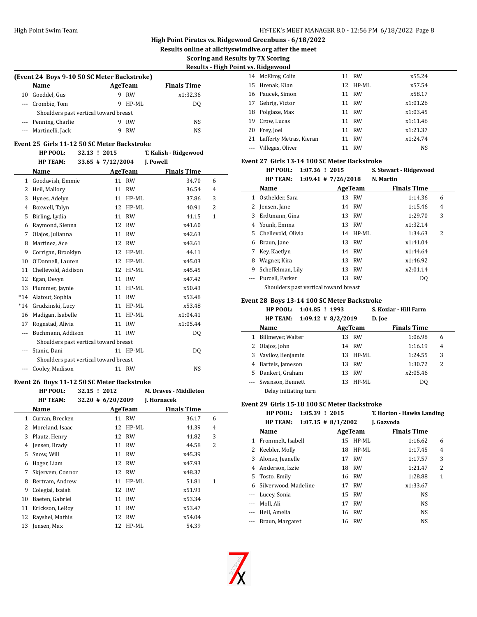**Results online at allcityswimdive.org after the meet**

## **Scoring and Results by 7X Scoring**

**Results - High Point vs. Ridgewood**

| (Event 24 Boys 9-10 50 SC Meter Backstroke) |                                       |   |         |                    |  |  |  |
|---------------------------------------------|---------------------------------------|---|---------|--------------------|--|--|--|
|                                             | <b>Name</b>                           |   | AgeTeam | <b>Finals Time</b> |  |  |  |
| 10                                          | Goeddel, Gus                          | 9 | RW      | x1:32.36           |  |  |  |
|                                             | --- Crombie, Tom                      | 9 | HP-ML   | DO.                |  |  |  |
|                                             | Shoulders past vertical toward breast |   |         |                    |  |  |  |
|                                             | --- Penning, Charlie                  |   | RW      | NS                 |  |  |  |
|                                             | --- Martinelli, Jack                  |   | RW      | NS                 |  |  |  |

#### **Event 25 Girls 11-12 50 SC Meter Backstroke**

|       | HP POOL:                              | 32.13 ! 2015          |           | T. Kalish - Ridgewood |   |
|-------|---------------------------------------|-----------------------|-----------|-----------------------|---|
|       | <b>HP TEAM:</b>                       | $33.65$ # $7/12/2004$ |           | J. Powell             |   |
|       | Name                                  |                       | AgeTeam   | <b>Finals Time</b>    |   |
| 1     | Goodavish, Emmie                      | 11                    | <b>RW</b> | 34.70                 | 6 |
| 2     | Heil, Mallory                         | 11                    | <b>RW</b> | 36.54                 | 4 |
| 3     | Hynes, Adelyn                         | 11                    | HP-ML     | 37.86                 | 3 |
| 4     | Boxwell, Talyn                        | 12                    | HP-ML     | 40.91                 | 2 |
| 5     | Birling, Lydia                        | 11                    | <b>RW</b> | 41.15                 | 1 |
| 6     | Raymond, Sienna                       | 12                    | <b>RW</b> | x41.60                |   |
| 7     | Olajos, Julianna                      | 11                    | <b>RW</b> | x42.63                |   |
| 8     | Martinez, Ace                         | 12                    | <b>RW</b> | x43.61                |   |
| 9     | Corrigan, Brooklyn                    | 12                    | HP-ML     | 44.11                 |   |
| 10    | O'Donnell, Lauren                     | 12                    | $HP-ML$   | x45.03                |   |
| 11    | Chellevold, Addison                   | 12                    | HP-ML     | x45.45                |   |
| 12    | Egan, Devyn                           | 11                    | <b>RW</b> | x47.42                |   |
| 13    | Plummer, Jaynie                       | 11                    | HP-ML     | x50.43                |   |
| $*14$ | Alatout, Sophia                       | 11                    | <b>RW</b> | x53.48                |   |
| $*14$ | Grudzinski, Lucy                      | 11                    | $HP-ML$   | x53.48                |   |
| 16    | Madigan, Isabelle                     | 11                    | HP-ML     | x1:04.41              |   |
| 17    | Rognstad, Alivia                      | 11                    | <b>RW</b> | x1:05.44              |   |
| ---   | Buchmann, Addison                     | 11                    | <b>RW</b> | DQ                    |   |
|       | Shoulders past vertical toward breast |                       |           |                       |   |
| ---   | Stanic, Dani                          |                       | 11 HP-ML  | D <sub>0</sub>        |   |
|       | Shoulders past vertical toward breast |                       |           |                       |   |
|       | Cooley, Madison                       |                       | 11 RW     | NS                    |   |
|       |                                       |                       |           |                       |   |

#### **Event 26 Boys 11-12 50 SC Meter Backstroke**

|    | HP POOL:         | 32.15 ! 2012 |                      |           | <b>M. Draves - Middleton</b> |                |
|----|------------------|--------------|----------------------|-----------|------------------------------|----------------|
|    | <b>HP TEAM:</b>  |              | $32.20 \# 6/20/2009$ |           | J. Hornacek                  |                |
|    | Name             |              |                      | AgeTeam   | <b>Finals Time</b>           |                |
| 1  | Curran, Brecken  |              | 11                   | <b>RW</b> | 36.17                        | 6              |
| 2  | Moreland, Isaac  |              | 12                   | HP-ML     | 41.39                        | 4              |
| 3  | Plautz, Henry    |              | 12                   | RW        | 41.82                        | 3              |
| 4  | Jensen, Brady    |              | 11                   | RW        | 44.58                        | $\overline{2}$ |
| 5  | Snow, Will       |              | 11                   | RW        | x45.39                       |                |
| 6  | Hager, Liam      |              | 12                   | RW        | x47.93                       |                |
| 7  | Skjervem, Connor |              | 12                   | RW        | x48.32                       |                |
| 8  | Bertram, Andrew  |              | 11                   | HP-ML     | 51.81                        | 1              |
| 9  | Colegial, Isaiah |              | 12                   | RW        | x51.93                       |                |
| 10 | Baeten, Gabriel  |              | 11                   | RW        | x53.34                       |                |
| 11 | Erickson, LeRov  |              | 11                   | <b>RW</b> | x53.47                       |                |
| 12 | Rayshel, Mathis  |              | 12                   | RW        | x54.04                       |                |
| 13 | Jensen, Max      |              | 12                   | HP-ML     | 54.39                        |                |

|    | . . <i>.</i>               |    |           |          |
|----|----------------------------|----|-----------|----------|
|    | 14 McElroy, Colin          |    | 11 RW     | x55.24   |
|    | 15 Hrenak, Kian            |    | 12 HP-ML  | x57.54   |
|    | 16 Paucek, Simon           |    | 11 RW     | x58.17   |
| 17 | Gehrig, Victor             |    | 11 RW     | x1:01.26 |
| 18 | Polglaze, Max              | 11 | RW        | x1:03.45 |
| 19 | Crow. Lucas                | 11 | RW        | x1:11.46 |
| 20 | Frey, Joel                 | 11 | RW        | x1:21.37 |
|    | 21 Lafferty Metras, Kieran | 11 | <b>RW</b> | x1:24.74 |
|    | --- Villegas, Oliver       | 11 | <b>RW</b> | NS       |

#### **Event 27 Girls 13-14 100 SC Meter Backstroke**

|    | HP POOL:<br>$1:07.36$ ! 2015             |         |       | S. Stewart - Ridgewood |   |
|----|------------------------------------------|---------|-------|------------------------|---|
|    | <b>HP TEAM:</b><br>$1:09.41$ # 7/26/2018 |         |       | N. Martin              |   |
|    | Name                                     | AgeTeam |       | <b>Finals Time</b>     |   |
| 1  | Osthelder, Sara                          | 13      | RW    | 1:14.36                | 6 |
| 2  | Jensen, Jane                             | 14      | - RW  | 1:15.46                | 4 |
| 3  | Erdtmann, Gina                           | 13      | RW    | 1:29.70                | 3 |
| 4  | Younk, Emma                              | 13      | RW    | x1:32.14               |   |
| 5. | Chellevold, Olivia                       | 14      | HP-ML | 1:34.63                | 2 |
| 6  | Braun, Jane                              | 13      | RW    | x1:41.04               |   |
| 7  | Key, Kaetlyn                             | 14      | RW    | x1:44.64               |   |
| 8  | Wagner, Kira                             | 13      | RW    | x1:46.92               |   |
| 9  | Scheffelman, Lily                        | 13      | RW    | x2:01.14               |   |
|    | Purcell, Parker                          | 13      | RW    | DQ                     |   |
|    | Shoulders past vertical toward breast    |         |       |                        |   |

#### **Event 28 Boys 13-14 100 SC Meter Backstroke**

|    | $1:04.85$ ! 1993<br><b>HP POOL:</b> |                       | S. Koziar - Hill Farm |                |
|----|-------------------------------------|-----------------------|-----------------------|----------------|
|    | <b>HP TEAM:</b>                     | $1:09.12 \# 8/2/2019$ | D. Joe                |                |
|    | Name                                | AgeTeam               | <b>Finals Time</b>    |                |
| 1  | Billmeyer, Walter                   | RW<br>13              | 1:06.98               | 6              |
| 2  | Olajos, John                        | 14 RW                 | 1:16.19               | $\overline{4}$ |
|    | 3 Vavilov, Benjamin                 | $HP-ML$<br>13         | 1:24.55               | 3              |
| 4  | Bartels, Jameson                    | RW<br>13              | 1:30.72               | 2              |
| 5. | Dankert, Graham                     | RW<br>13              | x2:05.46              |                |
|    | Swanson, Bennett                    | $HP-ML$<br>13         | D <sub>0</sub>        |                |
|    | Delay initiating turn               |                       |                       |                |

#### **Event 29 Girls 15-18 100 SC Meter Backstroke**

|          | <b>HP POOL:</b><br>$1:05.39$ ! 2015<br><b>HP TEAM:</b> | $1:07.15 \# 8/1/2002$ | T. Horton - Hawks Landing<br>J. Gazvoda |                |
|----------|--------------------------------------------------------|-----------------------|-----------------------------------------|----------------|
|          | Name                                                   | AgeTeam               | <b>Finals Time</b>                      |                |
| 1        | Frommelt, Isabell                                      | $HP-ML$<br>15         | 1:16.62                                 | 6              |
| 2        | Keebler, Molly                                         | 18                    | HP-ML<br>1:17.45                        | $\overline{4}$ |
| 3        | Alonso, Jeanelle                                       | <b>RW</b><br>17       | 1:17.57                                 | 3              |
| 4        | Anderson, Izzie                                        | RW<br>18              | 1:21.47                                 | 2              |
| 5.       | Tosto, Emily                                           | RW<br>16              | 1:28.88                                 | 1              |
| 6        | Silverwood, Madeline                                   | <b>RW</b><br>17       | x1:33.67                                |                |
| $\cdots$ | Lucey, Sonia                                           | RW<br>15              | <b>NS</b>                               |                |
|          | Moll, Ali                                              | RW<br>17              | <b>NS</b>                               |                |
|          | Heil, Amelia                                           | 16 RW                 | <b>NS</b>                               |                |
|          | Braun, Margaret                                        | RW<br>16              | <b>NS</b>                               |                |
|          |                                                        |                       |                                         |                |



 $\overline{\phantom{a}}$ 

 $\overline{\phantom{0}}$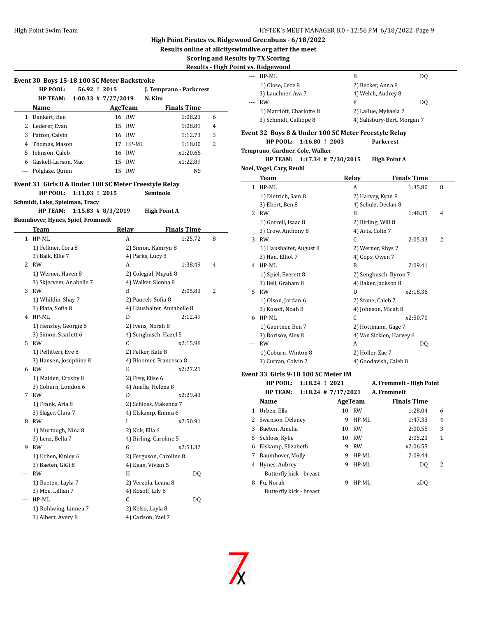**Results online at allcityswimdive.org after the meet**

# **Scoring and Results by 7X Scoring**

**Results - High Point v** 

|     | HP POOL:<br>56.92 ! 2015                                                  |          | J. Temprano - Parkcrest    |   |
|-----|---------------------------------------------------------------------------|----------|----------------------------|---|
|     | <b>HP TEAM:</b><br>$1:00.33$ # 7/27/2019                                  |          | N. Kim                     |   |
|     | Name                                                                      | AgeTeam  | <b>Finals Time</b>         |   |
|     | 1 Dankert, Ben                                                            | 16 RW    | 1:08.23                    | 6 |
|     | 2 Lederer, Evan                                                           | 15 RW    | 1:08.89                    | 4 |
|     | 3 Patton, Calvin                                                          | 16 RW    | 1:12.73                    | 3 |
|     | 4 Thomas, Mason                                                           | 17 HP-ML | 1:18.00                    | 2 |
|     | 5 Johnson, Caleb                                                          | 16 RW    | x1:20.66                   |   |
|     | 6 Gaskell-Larson, Mac                                                     | 15 RW    | x1:22.89                   |   |
|     | --- Polglaze, Quinn                                                       | 15 RW    | NS                         |   |
|     | Event 31 Girls 8 & Under 100 SC Meter Freestyle Relay                     |          |                            |   |
|     | HP POOL:<br>$1:11.03$ ! 2015                                              |          | Seminole                   |   |
|     | Schmidt, Lake, Spielman, Tracy<br><b>HP TEAM:</b><br>$1:15.83$ # 8/3/2019 |          | <b>High Point A</b>        |   |
|     | Baumhover, Hynes, Spiel, Frommelt                                         |          |                            |   |
|     | Team                                                                      | Relay    | <b>Finals Time</b>         |   |
|     | 1 HP-ML                                                                   | A        | 1:25.72                    | 8 |
|     | 1) Felkner, Cora 8                                                        |          | 2) Simon, Kamryn 8         |   |
|     | 3) Baik, Ellie 7                                                          |          | 4) Parks, Lucy 8           |   |
|     | 2 RW                                                                      | A        | 1:38.49                    | 4 |
|     | 1) Werner, Haven 8                                                        |          | 2) Colegial, Mayah 8       |   |
|     | 3) Skjervem, Anabelle 7                                                   |          | 4) Walker, Sienna 8        |   |
|     | 3 RW                                                                      | B        | 2:05.83                    | 2 |
|     | 1) Whildin, Shay 7                                                        |          | 2) Paucek, Sofia 8         |   |
|     | 3) Plata, Sofia 8                                                         |          | 4) Haushalter, Annabelle 8 |   |
|     | 4 HP-ML                                                                   | D        | 2:12.49                    |   |
|     | 1) Hensley, Georgie 6                                                     |          | 2) Ivens, Norah 8          |   |
|     | 3) Simon, Scarlett 6                                                      |          | 4) Sengbusch, Hazel 5      |   |
|     | 5 RW                                                                      | C        | x2:15.98                   |   |
|     | 1) Pellitteri, Eve 8                                                      |          | 2) Felker, Kate 8          |   |
|     | 3) Hansen, Josephine 8                                                    |          | 4) Bloomer, Francesca 8    |   |
|     | 6 RW                                                                      | Е        | x2:27.21                   |   |
|     | 1) Maiden, Crosby 8                                                       |          | 2) Frey, Elise 6           |   |
|     | 3) Coburn, London 6                                                       |          | 4) Analla, Helena 8        |   |
|     | 7 RW                                                                      | D        | x2:29.43                   |   |
|     | 1) Frank, Aria 8                                                          |          | 2) Schloss, Makenna 7      |   |
|     | 3) Slager, Clara 7                                                        |          | 4) Elskamp, Emma 6         |   |
| 8   | RW                                                                        | L        | x2:50.91                   |   |
|     | 1) Murtaugh, Nina 8                                                       |          | 2) Kok, Ella 6             |   |
|     | 3) Lenz, Bella 7                                                          |          | 4) Birling, Caroline 5     |   |
|     | 9 RW                                                                      | G        | x2:51.32                   |   |
|     | 1) Urben, Kinley 6                                                        |          | 2) Ferguson, Caroline 8    |   |
|     | 3) Baeten, GiGi 8                                                         |          | 4) Egan, Vivian 5          |   |
| --- | <b>RW</b>                                                                 | H        | DQ                         |   |
|     | 1) Baeten, Layla 7                                                        |          | 2) Verzola, Leana 8        |   |
|     | 3) Moe, Lillian 7                                                         |          | 4) Kosoff, Lily 6          |   |
|     | HP-ML                                                                     | С        | DQ                         |   |
|     | 1) Rohlwing, Linnea 7                                                     |          | 2) Kelso, Layla 8          |   |
|     | 3) Albert, Avery 8                                                        |          | 4) Carlson, Yael 7         |   |
|     |                                                                           |          |                            |   |

| vs. Ridgewood            |                             |     |
|--------------------------|-----------------------------|-----|
| $---$ HP-ML              | В                           | DO. |
| 1) Close, Cece 8         | 2) Becker, Anna 8           |     |
| 3) Lauchner, Ava 7       | 4) Welch, Audrey 8          |     |
| <b>RW</b>                | F                           | DO. |
| 1) Marriott, Charlotte 8 | 2) LaRue, Mykaela 7         |     |
| 3) Schmidt, Calliope 8   | 4) Salisbury-Bert, Morgan 7 |     |

## **Event 32 Boys 8 & Under 100 SC Meter Freestyle Relay**

**HP POOL: 1:16.80 ! 2003 Parkcrest**

#### **Temprano, Gardner, Cole, Walker**

**HP TEAM: 1:17.34 # 7/30/2015 High Point A Noel, Vogel, Cary, Reuhl**

|   | Team                    | Relay                    | <b>Finals Time</b> |   |
|---|-------------------------|--------------------------|--------------------|---|
| 1 | HP-ML                   | A                        | 1:35.80            | 8 |
|   | 1) Dietrich, Sam 8      | 2) Harvey, Kyan 8        |                    |   |
|   | 3) Ebert, Ben 8         | 4) Schulz, Declan 8      |                    |   |
| 2 | <b>RW</b>               | B                        | 1:48.35            | 4 |
|   | 1) Gorrell, Isaac 8     | 2) Birling, Will 8       |                    |   |
|   | 3) Crow, Anthony 8      | 4) Arts, Colin 7         |                    |   |
| 3 | RW                      | C                        | 2:05.33            | 2 |
|   | 1) Haushalter, August 8 | 2) Werner, Rhys 7        |                    |   |
|   | 3) Han, Elliot 7        | 4) Cops, Owen 7          |                    |   |
| 4 | HP-ML                   | B                        | 2:09.41            |   |
|   | 1) Spiel, Everett 8     | 2) Sengbusch, Byron 7    |                    |   |
|   | 3) Bell, Graham 8       | 4) Baker, Jackson 8      |                    |   |
| 5 | <b>RW</b>               | D                        | x2:18.36           |   |
|   | 1) Olson, Jordan 6      | 2) Stone, Caleb 7        |                    |   |
|   | 3) Kosoff, Noah 8       | 4) Johnson, Micah 8      |                    |   |
| 6 | HP-ML                   | C.                       | x2:50.70           |   |
|   | 1) Gaertner, Ben 7      | 2) Hottmann, Gage 7      |                    |   |
|   | 3) Borisov, Alex 8      | 4) Van Sicklen, Harvey 6 |                    |   |
|   | <b>RW</b>               | A                        | DO.                |   |
|   | 1) Coburn, Winton 8     | 2) Holler, Zac 7         |                    |   |
|   | 3) Curran, Colvin 7     | 4) Goodavish, Caleb 8    |                    |   |

#### **Event 33 Girls 9-10 100 SC Meter IM**

**HP TEAM: 1:18.24 # 7/17/2021 A. Frommelt**

**HP POOL: 1:18.24 ! 2021 A. Frommelt - High Point**

|    | <br>1.10.21 <i>at 11</i> 77 17 20 21 |    |           | 11. 1 1 VIIIIIIVIV |   |  |
|----|--------------------------------------|----|-----------|--------------------|---|--|
|    | Name                                 |    | AgeTeam   | <b>Finals Time</b> |   |  |
|    | Urben, Ella                          | 10 | <b>RW</b> | 1:28.04            | 6 |  |
|    | Swanson, Delaney                     | 9  | HP-ML     | 1:47.33            | 4 |  |
| 3  | Baeten, Amelia                       | 10 | <b>RW</b> | 2:00.55            | 3 |  |
| 5. | Schloss, Kylie                       | 10 | <b>RW</b> | 2:05.23            | 1 |  |
| 6  | Elskamp, Elizabeth                   | 9  | <b>RW</b> | x2:06.55           |   |  |
| 7  | Baumhover, Molly                     | 9  | HP-ML     | 2:09.44            |   |  |
| 4  | Hynes, Aubrey                        | 9  | HP-ML     | D <sub>0</sub>     | 2 |  |
|    | Butterfly kick - breast              |    |           |                    |   |  |
| 8  | Fu. Norah                            | 9  | HP-ML     | xDO                |   |  |
|    | Butterfly kick - breast              |    |           |                    |   |  |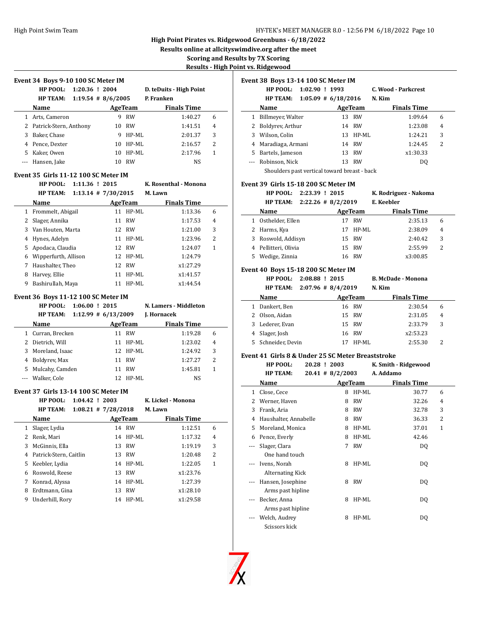**Results online at allcityswimdive.org after the meet**

**Scoring and Results by 7X Scoring**

**Results - High Point** 

 $\overline{\phantom{a}}$ 

 $\frac{1}{2}$ 

 $\overline{a}$ 

 $\overline{a}$ 

| Event 34 Boys 9-10 100 SC Meter IM |                                                  |                         |    |                   |                         |                   |
|------------------------------------|--------------------------------------------------|-------------------------|----|-------------------|-------------------------|-------------------|
|                                    | HP POOL: 1:20.36 ! 2004                          |                         |    |                   | D. teDuits - High Point |                   |
|                                    | <b>HP TEAM:</b>                                  | $1:19.54$ # 8/6/2005    |    |                   | P. Franken              |                   |
|                                    | Name                                             |                         |    | <b>AgeTeam</b>    | <b>Finals Time</b>      |                   |
|                                    | 1 Arts, Cameron                                  |                         |    | 9 RW              | 1:40.27                 | 6                 |
|                                    | 2 Patrick-Stern, Anthony                         |                         |    | 10 RW             | 1:41.51                 | 4                 |
|                                    | 3 Baker, Chase                                   |                         |    | 9 HP-ML           | 2:01.37                 | 3                 |
|                                    | 4 Pence, Dexter                                  |                         |    | 10 HP-ML          | 2:16.57                 | 2                 |
|                                    | 5 Kaker, Owen                                    |                         |    | 10 HP-ML          | 2:17.96                 | 1                 |
|                                    | --- Hansen, Jake                                 |                         |    | 10 RW             | NS                      |                   |
|                                    |                                                  |                         |    |                   |                         |                   |
|                                    | Event 35 Girls 11-12 100 SC Meter IM<br>HP POOL: | 1:11.36 ! 2015          |    |                   | K. Rosenthal - Monona   |                   |
|                                    | HP TEAM:                                         | $1:13.14$ # $7/30/2015$ |    |                   | M. Lawn                 |                   |
|                                    |                                                  |                         |    |                   |                         |                   |
|                                    | Name                                             |                         |    | AgeTeam           | <b>Finals Time</b>      |                   |
|                                    | 1 Frommelt, Abigail                              |                         |    | 11 HP-ML          | 1:13.36                 | 6                 |
|                                    | 2 Slager, Annika                                 |                         | 11 | RW                | 1:17.53                 | 4<br>3            |
|                                    | 3 Van Houten, Marta                              |                         |    | 12 RW             | 1:21.00                 |                   |
|                                    | 4 Hynes, Adelyn                                  |                         |    | 11 HP-ML<br>12 RW | 1:23.96<br>1:24.07      | 2<br>$\mathbf{1}$ |
|                                    | 5 Apodaca, Claudia                               |                         |    | 12 HP-ML          | 1:24.79                 |                   |
|                                    | 6 Wipperfurth, Allison                           |                         |    |                   |                         |                   |
|                                    | 7 Haushalter, Theo                               |                         |    | 12 RW             | x1:27.29                |                   |
|                                    | 8 Harvey, Ellie                                  |                         |    | 11 HP-ML          | x1:41.57                |                   |
|                                    | 9 Bashirullah, Maya                              |                         |    | 11 HP-ML          | x1:44.54                |                   |
|                                    | Event 36 Boys 11-12 100 SC Meter IM              |                         |    |                   |                         |                   |
|                                    |                                                  |                         |    |                   |                         |                   |
|                                    | <b>HP POOL:</b>                                  | $1:06.00$ ! 2015        |    |                   | N. Lamers - Middleton   |                   |
|                                    | <b>HP TEAM:</b>                                  | $1:12.99$ # 6/13/2009   |    |                   | J. Hornacek             |                   |
|                                    | Name                                             |                         |    | AgeTeam           | <b>Finals Time</b>      |                   |
|                                    | 1 Curran, Brecken                                |                         |    | 11 RW             | 1:19.28                 | 6                 |
|                                    | 2 Dietrich, Will                                 |                         |    | 11 HP-ML          | 1:23.02                 | 4                 |
|                                    | 3 Moreland, Isaac                                |                         |    | 12 HP-ML          | 1:24.92                 | 3                 |
|                                    | 4 Boldyrev, Max                                  |                         |    | 11 RW             | 1:27.27                 | $\overline{c}$    |
|                                    | 5 Mulcahy, Camden                                |                         |    | 11 RW             | 1:45.81                 | $\mathbf{1}$      |
|                                    | --- Walker, Cole                                 |                         |    | 12 HP-ML          | NS                      |                   |
|                                    |                                                  |                         |    |                   |                         |                   |
|                                    | Event 37 Girls 13-14 100 SC Meter IM             |                         |    |                   |                         |                   |
|                                    | <b>HP POOL:</b>                                  | $1:04.42$ ! 2003        |    |                   | K. Lickel - Monona      |                   |
|                                    | HP TEAM:                                         | $1:08.21$ # $7/28/2018$ |    |                   | M. Lawn                 |                   |
|                                    | Name                                             |                         |    | AgeTeam           | <b>Finals Time</b>      |                   |
| 1                                  | Slager, Lydia                                    |                         | 14 | RW                | 1:12.51                 | 6                 |
|                                    | 2 Renk, Mari                                     |                         | 14 | HP-ML             | 1:17.32                 | 4                 |
|                                    | 3 McGinnis, Ella                                 |                         | 13 | RW                | 1:19.19                 | 3                 |
|                                    | 4 Patrick-Stern, Caitlin                         |                         | 13 | RW                | 1:20.48                 | 2                 |
|                                    | 5 Keebler, Lydia                                 |                         | 14 | HP-ML             | 1:22.05                 | 1                 |
| 6                                  | Roswold, Reese                                   |                         | 13 | <b>RW</b>         | x1:23.76                |                   |
| 7                                  | Konrad, Alyssa                                   |                         |    | 14 HP-ML          | 1:27.39                 |                   |
| 8                                  | Erdtmann, Gina                                   |                         | 13 | <b>RW</b>         | x1:28.10                |                   |
| 9                                  | Underhill, Rory                                  |                         | 14 | HP-ML             | x1:29.58                |                   |

|     | <u>ıt vs. Ridgewood</u>                            |                |                        |           |                           |                |
|-----|----------------------------------------------------|----------------|------------------------|-----------|---------------------------|----------------|
|     | Event 38 Boys 13-14 100 SC Meter IM                |                |                        |           |                           |                |
|     | HP POOL: 1:02.90 ! 1993                            |                |                        |           | C. Wood - Parkcrest       |                |
|     | <b>HP TEAM:</b>                                    |                | $1:05.09 \# 6/18/2016$ |           | N. Kim                    |                |
|     | Name                                               |                | <b>AgeTeam</b>         |           | <b>Finals Time</b>        |                |
|     | 1 Billmeyer, Walter                                |                |                        | 13 RW     | 1:09.64                   | 6              |
|     | 2 Boldyrev, Arthur                                 |                |                        | 14 RW     | 1:23.08                   | $\overline{4}$ |
|     | 3 Wilson, Colin                                    |                |                        | 13 HP-ML  | 1:24.21                   | 3              |
|     | 4 Maradiaga, Armani                                |                |                        | 14 RW     | 1:24.45                   | 2              |
|     | 5 Bartels, Jameson                                 |                |                        | 13 RW     | x1:30.33                  |                |
|     | --- Robinson, Nick                                 |                |                        | 13 RW     | DQ                        |                |
|     | Shoulders past vertical toward breast - back       |                |                        |           |                           |                |
|     |                                                    |                |                        |           |                           |                |
|     | Event 39  Girls 15-18 200 SC Meter IM<br>HP POOL:  | 2:23.39 ! 2015 |                        |           | K. Rodriguez - Nakoma     |                |
|     | <b>HP TEAM:</b>                                    |                | $2:22.26$ # 8/2/2019   |           | E. Keebler                |                |
|     | Name                                               |                | AgeTeam                |           | <b>Finals Time</b>        |                |
|     | 1 Osthelder, Ellen                                 |                |                        | 17 RW     | 2:35.13                   | 6              |
|     | 2 Harms, Kya                                       |                |                        | 17 HP-ML  | 2:38.09                   | 4              |
|     | 3 Roswold, Addisyn                                 |                |                        | 15 RW     | 2:40.42                   | 3              |
|     | 4 Pellitteri, Olivia                               |                |                        | 15 RW     | 2:55.99                   | $\overline{2}$ |
|     | 5 Wedige, Zinnia                                   |                |                        | 16 RW     | x3:00.85                  |                |
|     |                                                    |                |                        |           |                           |                |
|     | Event 40 Boys 15-18 200 SC Meter IM                |                |                        |           |                           |                |
|     | HP POOL:                                           | 2:08.88 ! 2015 |                        |           | <b>B. McDade - Monona</b> |                |
|     | <b>HP TEAM:</b>                                    |                | $2:07.96$ # 8/4/2019   |           | N. Kim                    |                |
|     | Name                                               |                | <b>AgeTeam</b>         |           | <b>Finals Time</b>        |                |
|     | 1 Dankert, Ben                                     |                |                        | 16 RW     | 2:30.54                   | 6              |
|     | 2 Olson, Aidan                                     |                |                        | 15 RW     | 2:31.05                   | 4              |
|     | 3 Lederer, Evan                                    |                |                        | 15 RW     | 2:33.79                   | 3              |
| 4   | Slager, Josh                                       |                |                        | 16 RW     | x2:53.23                  |                |
|     | 5 Schneider, Devin                                 |                |                        | 17 HP-ML  | 2:55.30                   | 2              |
|     | Event 41  Girls 8 & Under 25 SC Meter Breaststroke |                |                        |           |                           |                |
|     | HP POOL:                                           | 20.28 ! 2003   |                        |           | K. Smith - Ridgewood      |                |
|     | <b>HP TEAM:</b>                                    |                | $20.41$ # 8/2/2003     |           | A. Addamo                 |                |
|     | Name                                               |                |                        | AgeTeam   | <b>Finals Time</b>        |                |
|     | 1 Close, Cece                                      |                |                        | 8 HP-ML   | 30.77                     | 6              |
|     | 2 Werner, Haven                                    |                |                        | 8 RW      | 32.26                     | 4              |
|     | 3 Frank, Aria                                      |                |                        | 8 RW      | 32.78                     | 3              |
| 4   | Haushalter, Annabelle                              |                | 8                      | RW        | 36.33                     | 2              |
| 5   | Moreland, Monica                                   |                | 8                      | HP-ML     | 37.01                     | 1              |
| 6   | Pence, Everly                                      |                | 8                      | HP-ML     | 42.46                     |                |
| --- | Slager, Clara                                      |                | 7                      | <b>RW</b> | DQ                        |                |
|     | One hand touch                                     |                |                        |           |                           |                |
| --- | Ivens, Norah                                       |                | 8                      | HP-ML     | DQ                        |                |
|     | <b>Alternating Kick</b>                            |                |                        |           |                           |                |
|     | Hansen, Josephine                                  |                | 8                      | RW        | DQ                        |                |



Arms past hipline

Arms past hipline

Scissors kick

--- Becker, Anna ann ann an 8 HP-ML DQ

--- Welch, Audrey 28 HP-ML DQ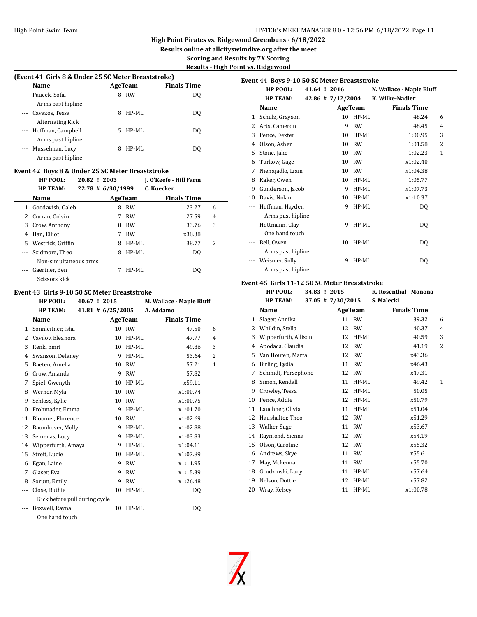## High Point Swim Team **Hy-TEK's MEET MANAGER 8.0 - 12:56 PM 6/18/2022** Page 11

# **High Point Pirates vs. Ridgewood Greenbuns - 6/18/2022**

**Results online at allcityswimdive.org after the meet**

**Scoring and Results by 7X Scoring**

**Results - High Point vs. Ridgewood**

|          | (Event 41 Girls 8 & Under 25 SC Meter Breaststroke) |    |           |                    |  |  |  |
|----------|-----------------------------------------------------|----|-----------|--------------------|--|--|--|
|          | Name                                                |    | AgeTeam   | <b>Finals Time</b> |  |  |  |
| $\cdots$ | Paucek, Sofia                                       | 8  | <b>RW</b> | DO                 |  |  |  |
|          | Arms past hipline                                   |    |           |                    |  |  |  |
| $\cdots$ | Cavazos, Tessa                                      | 8  | HP-ML     | DO                 |  |  |  |
|          | Alternating Kick                                    |    |           |                    |  |  |  |
|          | --- Hoffman, Campbell                               | 5. | HP-ML     | DO                 |  |  |  |
|          | Arms past hipline                                   |    |           |                    |  |  |  |
|          | Musselman, Lucy                                     | 8  | HP-ML     | DO                 |  |  |  |
|          | Arms past hipline                                   |    |           |                    |  |  |  |
|          |                                                     |    |           |                    |  |  |  |

# **Event 42 Boys 8 & Under 25 SC Meter Breaststroke**

|    | HP POOL:              | 20.82 ! 2003      |           | J. O'Keefe - Hill Farm |   |
|----|-----------------------|-------------------|-----------|------------------------|---|
|    | <b>HP TEAM:</b>       | 22.78 # 6/30/1999 |           | C. Kuecker             |   |
|    | <b>Name</b>           |                   | AgeTeam   | <b>Finals Time</b>     |   |
| 1  | Goodavish, Caleb      | 8                 | <b>RW</b> | 23.27                  | 6 |
|    | 2 Curran, Colvin      |                   | <b>RW</b> | 27.59                  | 4 |
| 3  | Crow, Anthony         | 8                 | <b>RW</b> | 33.76                  | 3 |
| 4  | Han, Elliot           | 7                 | <b>RW</b> | x38.38                 |   |
| 5. | Westrick, Griffin     | 8                 | HP-ML     | 38.77                  | 2 |
|    | Scidmore, Theo        | 8                 | HP-ML     | DO.                    |   |
|    | Non-simultaneous arms |                   |           |                        |   |
|    | Gaertner, Ben         | 7                 | HP-ML     | DO.                    |   |
|    | Scissors kick         |                   |           |                        |   |

#### **Event 43 Girls 9-10 50 SC Meter Breaststroke**

|    | HP POOL:<br>40.67 ! 2015                |    |           | M. Wallace - Maple Bluff |                |
|----|-----------------------------------------|----|-----------|--------------------------|----------------|
|    | <b>HP TEAM:</b><br>$41.81 \# 6/25/2005$ |    |           | A. Addamo                |                |
|    | Name                                    |    | AgeTeam   | <b>Finals Time</b>       |                |
| 1  | Sonnleitner, Isha                       | 10 | RW        | 47.50                    | 6              |
| 2  | Vavilov, Eleanora                       | 10 | HP-ML     | 47.77                    | $\overline{4}$ |
| 3  | Renk, Emri                              | 10 | HP-ML     | 49.86                    | 3              |
| 4  | Swanson, Delaney                        | 9  | HP-ML     | 53.64                    | $\overline{2}$ |
| 5  | Baeten, Amelia                          | 10 | <b>RW</b> | 57.21                    | $\mathbf{1}$   |
| 6  | Crow, Amanda                            | 9  | <b>RW</b> | 57.82                    |                |
| 7  | Spiel, Gwenyth                          | 10 | HP-ML     | x59.11                   |                |
| 8  | Werner, Myla                            | 10 | <b>RW</b> | x1:00.74                 |                |
| 9  | Schloss, Kylie                          | 10 | <b>RW</b> | x1:00.75                 |                |
| 10 | Frohmader, Emma                         | 9  | $HP-ML$   | x1:01.70                 |                |
| 11 | Bloomer, Florence                       | 10 | <b>RW</b> | x1:02.69                 |                |
| 12 | Baumhover, Molly                        | 9  | $HP-ML$   | x1:02.88                 |                |
| 13 | Semenas, Lucy                           | 9  | $HP-ML$   | x1:03.83                 |                |
| 14 | Wipperfurth, Amaya                      | 9  | $HP-ML$   | x1:04.11                 |                |
| 15 | Streit, Lucie                           | 10 | HP-ML     | x1:07.89                 |                |
| 16 | Egan, Laine                             | 9  | <b>RW</b> | x1:11.95                 |                |
| 17 | Glaser, Eva                             | 9  | <b>RW</b> | x1:15.39                 |                |
| 18 | Sorum, Emily                            | 9  | <b>RW</b> | x1:26.48                 |                |
|    | Close, Ruthie                           | 10 | HP-ML     | DQ                       |                |
|    | Kick before pull during cycle           |    |           |                          |                |
|    | Boxwell, Rayna                          | 10 | HP-ML     | DQ                       |                |
|    | One hand touch                          |    |           |                          |                |

| Event 44 Boys 9-10 50 SC Meter Breaststroke |                   |  |                       |           |                          |   |
|---------------------------------------------|-------------------|--|-----------------------|-----------|--------------------------|---|
|                                             | HP POOL:          |  | 41.64 ! 2016          |           | N. Wallace - Maple Bluff |   |
|                                             | <b>HP TEAM:</b>   |  | $42.86$ # $7/12/2004$ |           | K. Wilke-Nadler          |   |
|                                             | Name              |  |                       | AgeTeam   | <b>Finals Time</b>       |   |
| 1                                           | Schulz, Grayson   |  | 10                    | $HP-ML$   | 48.24                    | 6 |
| 2                                           | Arts, Cameron     |  | 9                     | <b>RW</b> | 48.45                    | 4 |
| 3                                           | Pence, Dexter     |  | 10                    | $HP-ML$   | 1:00.95                  | 3 |
| 4                                           | Olson, Asher      |  | 10                    | <b>RW</b> | 1:01.58                  | 2 |
| 5                                           | Stone, Jake       |  | 10                    | <b>RW</b> | 1:02.23                  | 1 |
| 6                                           | Turkow, Gage      |  | 10                    | <b>RW</b> | x1:02.40                 |   |
| 7                                           | Nienajadlo, Liam  |  | 10                    | <b>RW</b> | x1:04.38                 |   |
| 8                                           | Kaker, Owen       |  | 10                    | $HP-ML$   | 1:05.77                  |   |
| 9                                           | Gunderson, Jacob  |  | 9                     | $HP-ML$   | x1:07.73                 |   |
| 10                                          | Davis, Nolan      |  | 10                    | $HP-ML$   | x1:10.37                 |   |
| ---                                         | Hoffman, Hayden   |  | 9                     | HP-ML     | DQ                       |   |
|                                             | Arms past hipline |  |                       |           |                          |   |
|                                             | Hottmann, Clay    |  | 9                     | $HP-ML$   | DQ                       |   |
|                                             | One hand touch    |  |                       |           |                          |   |
| ---                                         | Bell, Owen        |  | 10                    | $HP-ML$   | DQ                       |   |
|                                             | Arms past hipline |  |                       |           |                          |   |
|                                             | Weismer, Solly    |  | 9                     | $HP-ML$   | DQ                       |   |
|                                             | Arms past hipline |  |                       |           |                          |   |

# **Event 45 Girls 11-12 50 SC Meter Breaststroke**

|                | HP POOL:             | 34.83 ! 2015 |                   |           | K. Rosenthal - Monona |   |
|----------------|----------------------|--------------|-------------------|-----------|-----------------------|---|
|                | <b>HP TEAM:</b>      |              | 37.05 # 7/30/2015 |           | S. Malecki            |   |
|                | Name                 |              | AgeTeam           |           | <b>Finals Time</b>    |   |
| 1              | Slager, Annika       |              |                   | 11 RW     | 39.32                 | 6 |
| 2              | Whildin, Stella      |              | 12                | <b>RW</b> | 40.37                 | 4 |
| 3              | Wipperfurth, Allison |              | 12                | $HP-ML$   | 40.59                 | 3 |
| $\overline{4}$ | Apodaca, Claudia     |              | 12                | <b>RW</b> | 41.19                 | 2 |
| 5              | Van Houten, Marta    |              | 12                | <b>RW</b> | x43.36                |   |
| 6              | Birling, Lydia       |              | 11                | <b>RW</b> | x46.43                |   |
| 7              | Schmidt, Persephone  |              | 12                | <b>RW</b> | x47.31                |   |
| 8              | Simon, Kendall       |              | 11                | HP-ML     | 49.42                 | 1 |
| 9              | Crowley, Tessa       |              | 12                | $HP-ML$   | 50.05                 |   |
| 10             | Pence, Addie         |              | 12                | HP-ML     | x50.79                |   |
| 11             | Lauchner, Olivia     |              | 11                | HP-ML     | x51.04                |   |
| 12             | Haushalter, Theo     |              | 12                | <b>RW</b> | x51.29                |   |
| 13             | Walker, Sage         |              | 11                | <b>RW</b> | x53.67                |   |
| 14             | Raymond, Sienna      |              | 12                | <b>RW</b> | x54.19                |   |
| 15             | Olson, Caroline      |              | 12                | <b>RW</b> | x55.32                |   |
| 16             | Andrews, Skye        |              | 11                | <b>RW</b> | x55.61                |   |
| 17             | May, Mckenna         |              | 11                | <b>RW</b> | x55.70                |   |
| 18             | Grudzinski, Lucy     |              | 11                | $HP-ML$   | x57.64                |   |
| 19             | Nelson, Dottie       |              | 12                | HP-ML     | x57.82                |   |
| 20             | Wray, Kelsey         |              | 11                | $HP-ML$   | x1:00.78              |   |

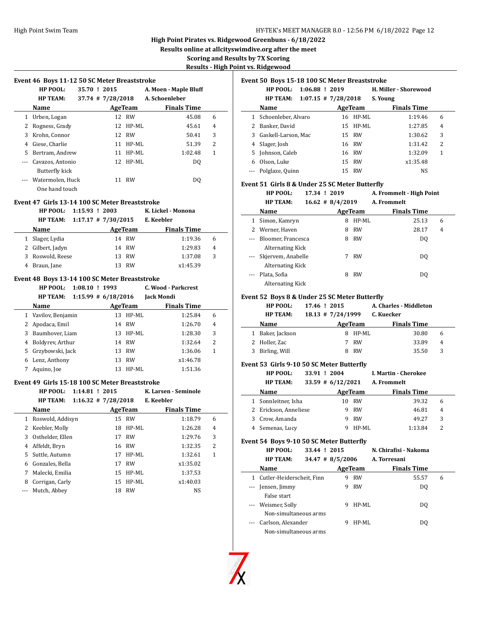**Results online at allcityswimdive.org after the meet**

**Scoring and Results by 7X Scoring**

**Results - High Point vs. Ridgewood**

|  | Event 46 Boys 11-12 50 SC Meter Breaststroke |
|--|----------------------------------------------|
|  |                                              |

|   | LVEIII TU DUVS 11-12 JU JU MEIEI DI EASISII UNE |                       |    |           |                       |   |  |  |  |  |
|---|-------------------------------------------------|-----------------------|----|-----------|-----------------------|---|--|--|--|--|
|   | HP POOL:                                        | 35.70 ! 2015          |    |           | A. Moen - Maple Bluff |   |  |  |  |  |
|   | <b>HP TEAM:</b>                                 | $37.74$ # $7/28/2018$ |    |           | A. Schoenleber        |   |  |  |  |  |
|   | Name                                            |                       |    | AgeTeam   | <b>Finals Time</b>    |   |  |  |  |  |
| 1 | Urben, Logan                                    |                       |    | 12 RW     | 45.08                 | 6 |  |  |  |  |
| 2 | Rogness, Grady                                  |                       |    | 12 HP-ML  | 45.61                 | 4 |  |  |  |  |
| 3 | Krohn, Connor                                   |                       |    | 12 RW     | 50.41                 | 3 |  |  |  |  |
| 4 | Giese, Charlie                                  |                       | 11 | HP-ML     | 51.39                 | 2 |  |  |  |  |
| 5 | Bertram, Andrew                                 |                       | 11 | HP-ML     | 1:02.48               | 1 |  |  |  |  |
|   | Cavazos, Antonio                                |                       |    | 12 HP-ML  | DQ                    |   |  |  |  |  |
|   | Butterfly kick                                  |                       |    |           |                       |   |  |  |  |  |
|   | Watermolen, Huck                                |                       | 11 | <b>RW</b> | DO.                   |   |  |  |  |  |
|   | One hand touch                                  |                       |    |           |                       |   |  |  |  |  |

#### **Event 47 Girls 13-14 100 SC Meter Breaststroke**

|   | HP POOL: 1:15.93 ! 2003 |                       |    |         | K. Lickel - Monona |   |  |
|---|-------------------------|-----------------------|----|---------|--------------------|---|--|
|   | <b>HP TEAM:</b>         | $1:17.17$ # 7/30/2015 |    |         | E. Keebler         |   |  |
|   | Name                    |                       |    | AgeTeam | <b>Finals Time</b> |   |  |
|   | Slager, Lydia           |                       |    | 14 RW   | 1:19.36            | 6 |  |
|   | 2 Gilbert, Jadyn        |                       |    | 14 RW   | 1:29.83            | 4 |  |
| 3 | Roswold, Reese          |                       | 13 | RW      | 1:37.08            | 3 |  |
|   | Braun, Jane             |                       |    | RW      | x1:45.39           |   |  |

### **Event 48 Boys 13-14 100 SC Meter Breaststroke**

|              | $1:08.10$ ! 1993<br>HP POOL: |                       | C. Wood - Parkcrest |   |
|--------------|------------------------------|-----------------------|---------------------|---|
|              | <b>HP TEAM:</b>              | $1:15.99$ # 6/18/2016 | Jack Mondi          |   |
|              | Name                         | AgeTeam               | <b>Finals Time</b>  |   |
| $\mathbf{1}$ | Vavilov, Benjamin            | HP-ML<br>13           | 1:25.84             | 6 |
| 2            | Apodaca, Emil                | 14 RW                 | 1:26.70             | 4 |
| 3            | Baumhover, Liam              | 13 HP-ML              | 1:28.30             | 3 |
| 4            | Boldyrev, Arthur             | 14 RW                 | 1:32.64             | 2 |
| 5.           | Grzybowski, Jack             | RW<br>13              | 1:36.06             | 1 |
| 6            | Lenz, Anthony                | RW<br>13              | x1:46.78            |   |
|              | Aquino, Joe                  | HP-ML<br>13           | 1:51.36             |   |

#### **Event 49 Girls 15-18 100 SC Meter Breaststroke**

|              | $1:14.81$ ! 2015<br>HP POOL:<br><b>HP TEAM:</b> | $1:16.32$ # $7/28/2018$ |         | K. Larsen - Seminole<br>E. Keebler |   |
|--------------|-------------------------------------------------|-------------------------|---------|------------------------------------|---|
|              | Name                                            |                         | AgeTeam | <b>Finals Time</b>                 |   |
| $\mathbf{1}$ | Roswold, Addisyn                                |                         | 15 RW   | 1:18.79                            | 6 |
|              | 2 Keebler, Molly                                | 18                      | HP-ML   | 1:26.28                            | 4 |
| 3            | Osthelder, Ellen                                | 17                      | RW      | 1:29.76                            | 3 |
| 4            | Affeldt, Bryn                                   |                         | 16 RW   | 1:32.35                            | 2 |
|              | 5 Suttle, Autumn                                | 17                      | HP-ML   | 1:32.61                            | 1 |
| 6            | Gonzales, Bella                                 | 17                      | RW      | x1:35.02                           |   |
| 7            | Malecki, Emilia                                 | 15                      | HP-ML   | 1:37.53                            |   |
| 8            | Corrigan, Carly                                 | 15                      | HP-ML   | x1:40.03                           |   |
|              | Mutch, Abbey                                    | 18                      | RW      | NS                                 |   |

#### **Event 50 Boys 15-18 100 SC Meter Breaststroke**

|   | $1:06.88$ ! 2019<br><b>HP POOL:</b>        |          | H. Miller - Shorewood |   |  |
|---|--------------------------------------------|----------|-----------------------|---|--|
|   | $1:07.15$ # $7/28/2018$<br><b>HP TEAM:</b> |          | S. Young              |   |  |
|   | Name                                       | AgeTeam  | <b>Finals Time</b>    |   |  |
|   | 1 Schoenleber, Alvaro                      | 16 HP-ML | 1:19.46               | 6 |  |
|   | Banker, David                              | 15 HP-ML | 1:27.85               | 4 |  |
|   | 3 Gaskell-Larson, Mac                      | 15 RW    | 1:30.62               | 3 |  |
|   | 4 Slager, Josh                             | 16 RW    | 1:31.42               | 2 |  |
|   | 5 Johnson, Caleb                           | 16 RW    | 1:32.09               | 1 |  |
| 6 | Olson, Luke                                | 15 RW    | x1:35.48              |   |  |
|   | --- Polglaze, Quinn                        | 15 RW    | <b>NS</b>             |   |  |

#### **Event 51 Girls 8 & Under 25 SC Meter Butterfly**

|   | <b>HP POOL:</b>         | 17.34 ! 2019        | A. Frommelt - High Point |   |
|---|-------------------------|---------------------|--------------------------|---|
|   | <b>HP TEAM:</b>         | $16.62 \# 8/4/2019$ | A. Frommelt              |   |
|   | Name                    | AgeTeam             | <b>Finals Time</b>       |   |
|   | Simon, Kamryn           | $HP-ML$<br>8        | 25.13                    | 6 |
| 2 | Werner, Haven           | RW<br>8             | 28.17                    | 4 |
|   | Bloomer, Francesca      | <b>RW</b><br>8      | D <sub>0</sub>           |   |
|   | <b>Alternating Kick</b> |                     |                          |   |
|   | Skjervem, Anabelle      | RW<br>7             | DO                       |   |
|   | <b>Alternating Kick</b> |                     |                          |   |
|   | Plata, Sofia            | <b>RW</b><br>8      | DO                       |   |
|   | Alternating Kick        |                     |                          |   |

#### **Event 52 Boys 8 & Under 25 SC Meter Butterfly**

| <b>HP POOL:</b> | 17.46 ! 2015 | A. Charles - Middleton |
|-----------------|--------------|------------------------|
|-----------------|--------------|------------------------|

| НР ТЕАМ: | $18.13 \# 7/24/1999$ | C. Kuecker |
|----------|----------------------|------------|

| Name             |  | <b>Finals Time</b>                                           |                     |
|------------------|--|--------------------------------------------------------------|---------------------|
| 1 Baker, Jackson |  | 30.80                                                        | h                   |
| 2 Holler, Zac    |  | 33.89                                                        | $\overline{4}$      |
| 3 Birling, Will  |  | 35.50                                                        | 3                   |
|                  |  | $10.13$ $\pm$ $11.222$<br>AgeTeam<br>8 HP-ML<br>7 RW<br>8 RW | <b>UI INUCCINEL</b> |

## **Event 53 Girls 9-10 50 SC Meter Butterfly**

| <b>HP POOL:</b>       | 33.91 ! 2004 |                      |           | I. Martin - Cherokee |   |  |
|-----------------------|--------------|----------------------|-----------|----------------------|---|--|
| <b>HP TEAM:</b>       |              | $33.59 \# 6/12/2021$ |           | A. Frommelt          |   |  |
| Name                  |              |                      | AgeTeam   | <b>Finals Time</b>   |   |  |
| 1 Sonnleitner, Isha   |              | 10                   | <b>RW</b> | 39.32                | 6 |  |
| 2 Erickson, Anneliese |              |                      | <b>RW</b> | 46.81                | 4 |  |
| Crow, Amanda          |              | g                    | <b>RW</b> | 49.27                | 3 |  |
| Semenas, Lucy         |              |                      | HP-ML     | 1:13.84              | 2 |  |

## **Event 54 Boys 9-10 50 SC Meter Butterfly**

|                                        | HP POOL:                  | 33.44 ! 2015       |   |           | N. Chirafisi - Nakoma |   |
|----------------------------------------|---------------------------|--------------------|---|-----------|-----------------------|---|
|                                        | <b>HP TEAM:</b>           | $34.47$ # 8/5/2006 |   |           | A. Torresani          |   |
|                                        | Name                      |                    |   | AgeTeam   | <b>Finals Time</b>    |   |
| 1                                      | Cutler-Heiderscheit, Finn |                    | 9 | <b>RW</b> | 55.57                 | 6 |
| $\scriptstyle\cdots\scriptstyle\cdots$ | Jensen, Jimmy             |                    | 9 | <b>RW</b> | DO.                   |   |
|                                        | False start               |                    |   |           |                       |   |
|                                        | --- Weismer, Solly        |                    | 9 | HP-ML     | DO.                   |   |
|                                        | Non-simultaneous arms     |                    |   |           |                       |   |
|                                        | Carlson, Alexander        |                    |   | HP-ML     | DO.                   |   |
|                                        | Non-simultaneous arms     |                    |   |           |                       |   |

 $\overline{\phantom{a}}$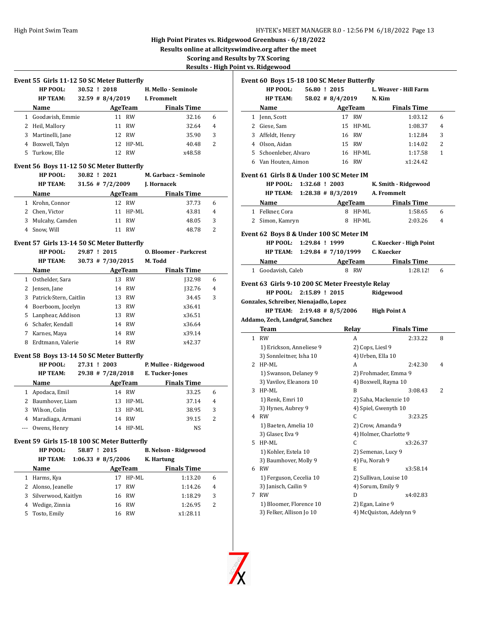**Results online at allcityswimdive.org after the meet**

**Scoring and Results by 7X Scoring**

**Results - High Point** 

| Event 55 Girls 11-12 50 SC Meter Butterfly |  |  |  |
|--------------------------------------------|--|--|--|
|                                            |  |  |  |

|    | HP POOL:         | 30.52 ! 2018 |                    |          | H. Mello - Seminole |   |  |
|----|------------------|--------------|--------------------|----------|---------------------|---|--|
|    | <b>HP TEAM:</b>  |              | $32.59$ # 8/4/2019 |          | I. Frommelt         |   |  |
|    | Name             |              | AgeTeam            |          | <b>Finals Time</b>  |   |  |
| 1  | Goodavish, Emmie |              | 11                 | RW       | 32.16               | 6 |  |
|    | 2 Heil, Mallory  |              | 11                 | RW       | 32.64               | 4 |  |
| 3  | Martinelli, Jane |              | 12 <sup>1</sup>    | RW       | 35.90               | 3 |  |
| 4  | Boxwell, Talyn   |              |                    | 12 HP-ML | 40.48               | 2 |  |
| 5. | Turkow, Elle     |              | 12                 | RW       | x48.58              |   |  |

## **Event 56 Boys 11-12 50 SC Meter Butterfly**

|   | HP POOL:        | 30.82 ! 2021 |                      |           | M. Garbacz - Seminole |                |
|---|-----------------|--------------|----------------------|-----------|-----------------------|----------------|
|   | <b>HP TEAM:</b> |              | $31.56$ # $7/2/2009$ |           | J. Hornacek           |                |
|   | <b>Name</b>     |              |                      | AgeTeam   | <b>Finals Time</b>    |                |
|   | Krohn, Connor   |              |                      | 12 RW     | 37.73                 | 6              |
|   | 2 Chen, Victor  |              |                      | 11 HP-ML  | 43.81                 | $\overline{4}$ |
| 3 | Mulcahy, Camden |              | 11                   | RW        | 48.05                 | 3              |
|   | Snow, Will      |              |                      | <b>RW</b> | 48.78                 | 2              |

#### **Event 57 Girls 13-14 50 SC Meter Butterfly**

|   | HP POOL:                 | 29.87 ! 2015 |                     |         | <b>0. Bloomer - Parkcrest</b> |   |  |
|---|--------------------------|--------------|---------------------|---------|-------------------------------|---|--|
|   | <b>HP TEAM:</b>          |              | $30.73$ # 7/30/2015 |         | M. Todd                       |   |  |
|   | Name                     |              |                     | AgeTeam | <b>Finals Time</b>            |   |  |
| 1 | Osthelder, Sara          |              | 13                  | RW      | 132.98                        | 6 |  |
|   | 2 Jensen, Jane           |              |                     | 14 RW   | 132.76                        | 4 |  |
|   | 3 Patrick-Stern, Caitlin |              |                     | 13 RW   | 34.45                         | 3 |  |
| 4 | Boerboom, Jocelyn        |              |                     | 13 RW   | x36.41                        |   |  |
|   | 5 Lanphear, Addison      |              |                     | 13 RW   | x36.51                        |   |  |
| 6 | Schafer, Kendall         |              |                     | 14 RW   | x36.64                        |   |  |
| 7 | Karnes, Maya             |              |                     | 14 RW   | x39.14                        |   |  |
| 8 | Erdtmann, Valerie        |              |                     | 14 RW   | x42.37                        |   |  |
|   |                          |              |                     |         |                               |   |  |

## **Event 58 Boys 13-14 50 SC Meter Butterfly**

|              | HP POOL:            | 27.31 ! 2003 |                     |          | P. Mullee - Ridgewood |   |
|--------------|---------------------|--------------|---------------------|----------|-----------------------|---|
|              | <b>HP TEAM:</b>     |              | $29.38$ # 7/28/2018 |          | E. Tucker-Jones       |   |
|              | <b>Name</b>         |              |                     | AgeTeam  | <b>Finals Time</b>    |   |
| $\mathbf{1}$ | Apodaca, Emil       |              |                     | 14 RW    | 33.25                 | 6 |
|              | 2 Baumhover, Liam   |              |                     | 13 HP-ML | 37.14                 | 4 |
| 3            | Wilson, Colin       |              |                     | 13 HP-ML | 38.95                 | 3 |
|              | 4 Maradiaga, Armani |              | 14                  | RW       | 39.15                 | 2 |
|              | --- Owens, Henry    |              | 14                  | HP-ML    | NS                    |   |

## **Event 59 Girls 15-18 100 SC Meter Butterfly**

|   | HP POOL:            | 58.87 ! 2015          |           | <b>B. Nelson - Ridgewood</b> |   |
|---|---------------------|-----------------------|-----------|------------------------------|---|
|   | <b>HP TEAM:</b>     | $1:06.33 \# 8/5/2006$ |           | K. Hartung                   |   |
|   | Name                | AgeTeam               |           | <b>Finals Time</b>           |   |
|   | Harms, Kya          | 17                    | HP-ML     | 1:13.20                      | 6 |
|   | 2 Alonso, Jeanelle  | 17                    | <b>RW</b> | 1:14.26                      | 4 |
| 3 | Silverwood, Kaitlyn |                       | 16 RW     | 1:18.29                      | 3 |
|   | Wedige, Zinnia      | 16                    | RW        | 1:26.95                      | 2 |
| 5 | Tosto, Emily        | 16.                   | RW        | x1:28.11                     |   |
|   |                     |                       |           |                              |   |

|   |                                                           |                         | Event 60 Boys 15-18 100 SC Meter Butterfly |                |                              |   |
|---|-----------------------------------------------------------|-------------------------|--------------------------------------------|----------------|------------------------------|---|
|   | HP POOL:                                                  | 56.80 ! 2015            |                                            |                | L. Weaver - Hill Farm        |   |
|   | <b>HP TEAM:</b>                                           |                         | $58.02 \# 8/4/2019$                        |                | N. Kim                       |   |
|   | Name                                                      |                         |                                            | AgeTeam        | <b>Finals Time</b>           |   |
|   | 1 Jenn, Scott                                             |                         |                                            | 17 RW          | 1:03.12                      | 6 |
|   | 2 Giese, Sam                                              |                         | 15                                         | HP-ML          | 1:08.37                      | 4 |
|   | 3 Affeldt, Henry                                          |                         |                                            | 16 RW          | 1:12.84                      | 3 |
|   | 4 Olson, Aidan                                            |                         |                                            | 15 RW          | 1:14.02                      | 2 |
|   | 5 Schoenleber, Alvaro                                     |                         |                                            | 16 HP-ML       | 1:17.58                      | 1 |
|   | 6 Van Houten, Aimon                                       |                         |                                            | 16 RW          | x1:24.42                     |   |
|   | Event 61 Girls 8 & Under 100 SC Meter IM                  |                         |                                            |                |                              |   |
|   | <b>HP POOL:</b>                                           | 1:32.68 ! 2003          |                                            |                | K. Smith - Ridgewood         |   |
|   | <b>HP TEAM:</b>                                           | $1:28.38 \# 8/3/2019$   |                                            |                | A. Frommelt                  |   |
|   | Name                                                      |                         |                                            | AgeTeam        | <b>Finals Time</b>           |   |
|   | 1 Felkner, Cora                                           |                         |                                            | 8 HP-ML        | 1:58.65                      | 6 |
|   | 2 Simon, Kamryn                                           |                         |                                            | 8 HP-ML        | 2:03.26                      | 4 |
|   |                                                           |                         |                                            |                |                              |   |
|   | Event 62 Boys 8 & Under 100 SC Meter IM                   |                         |                                            |                |                              |   |
|   | <b>HP POOL:</b>                                           | 1:29.84 ! 1999          |                                            |                | C. Kuecker - High Point      |   |
|   | <b>HP TEAM:</b>                                           | $1:29.84$ # $7/10/1999$ |                                            |                | C. Kuecker                   |   |
|   | Name                                                      |                         |                                            | <b>AgeTeam</b> | <b>Finals Time</b>           |   |
|   | 1 Goodavish, Caleb                                        |                         |                                            | 8 RW           | 1:28.12!                     | 6 |
|   | <b>HP POOL:</b><br>Gonzales, Schreiber, Nienajadlo, Lopez | 2:15.89 ! 2015          |                                            |                | Ridgewood                    |   |
|   | <b>HP TEAM:</b>                                           | $2:19.48$ # 8/5/2006    |                                            |                | <b>High Point A</b>          |   |
|   | Addamo, Zech, Landgraf, Sanchez                           |                         |                                            |                |                              |   |
|   | <b>Team</b>                                               |                         |                                            | Relay          | <b>Finals Time</b>           |   |
|   | 1 RW                                                      |                         |                                            | A              | 2:33.22                      | 8 |
|   | 1) Erickson, Anneliese 9                                  |                         |                                            |                | 2) Cops, Liesl 9             |   |
|   | 3) Sonnleitner, Isha 10                                   |                         |                                            |                | 4) Urben, Ella 10            |   |
|   | 2 HP-ML                                                   |                         |                                            | A              | 2:42.30                      | 4 |
|   | 1) Swanson, Delaney 9                                     |                         |                                            |                | 2) Frohmader, Emma 9         |   |
|   | 3) Vavilov, Eleanora 10                                   |                         |                                            |                | 4) Boxwell, Rayna 10         |   |
|   | 3 HP-ML                                                   |                         |                                            | B              | 3:08.43                      | 2 |
|   | 1) Renk, Emri 10                                          |                         |                                            |                | 2) Saha, Mackenzie 10        |   |
|   | 3) Hynes, Aubrey 9                                        |                         |                                            |                | 4) Spiel, Gwenyth 10         |   |
| 4 | RW                                                        |                         |                                            | С              | 3:23.25                      |   |
|   | 1) Baeten, Amelia 10                                      |                         |                                            |                | 2) Crow, Amanda 9            |   |
|   | 3) Glaser, Eva 9                                          |                         |                                            |                | 4) Holmer, Charlotte 9       |   |
| 5 | HP-ML                                                     |                         |                                            | С              | x3:26.37                     |   |
|   | 1) Kohler, Estela 10                                      |                         |                                            |                | 2) Semenas, Lucy 9           |   |
|   | 3) Baumhover, Molly 9                                     |                         |                                            |                | 4) Fu, Norah 9               |   |
| 6 | RW                                                        |                         |                                            | E              | x3:58.14                     |   |
|   | 1) Ferguson, Cecelia 10                                   |                         |                                            |                | 2) Sullivan, Louise 10       |   |
|   | 3) Janisch, Cailin 9                                      |                         |                                            |                | 4) Sorum, Emily 9            |   |
| 7 | <b>RW</b><br>1) Bloomer, Florence 10                      |                         |                                            | D              | x4:02.83<br>2) Egan, Laine 9 |   |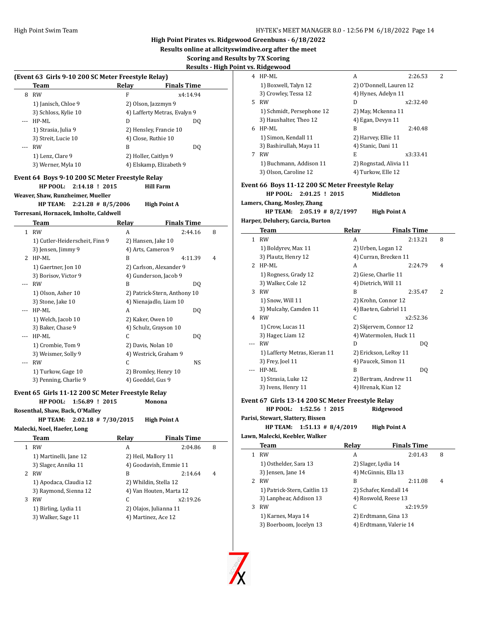**Results online at allcityswimdive.org after the meet**

# **Scoring and Results by 7X Scoring**

# **Results - High Point**

|              | (Event 63 Girls 9-10 200 SC Meter Freestyle Relay)   |                                          |                                                  |   |
|--------------|------------------------------------------------------|------------------------------------------|--------------------------------------------------|---|
|              | Team                                                 | Relay                                    | <b>Finals Time</b>                               |   |
|              | 8 RW                                                 | F                                        | x4:14.94                                         |   |
|              | 1) Janisch, Chloe 9                                  |                                          | 2) Olson, Jazzmyn 9                              |   |
|              | 3) Schloss, Kylie 10                                 |                                          | 4) Lafferty Metras, Evalyn 9                     |   |
|              | HP-ML                                                | D                                        | DQ                                               |   |
|              | 1) Strasia, Julia 9                                  |                                          | 2) Hensley, Francie 10                           |   |
|              | 3) Streit, Lucie 10                                  | 4) Close, Ruthie 10                      |                                                  |   |
| $---$        | <b>RW</b>                                            | B                                        | DQ                                               |   |
|              | 1) Lenz, Clare 9                                     | 2) Holler, Caitlyn 9                     |                                                  |   |
|              | 3) Werner, Myla 10                                   |                                          | 4) Elskamp, Elizabeth 9                          |   |
|              | Event 64 Boys 9-10 200 SC Meter Freestyle Relay      |                                          |                                                  |   |
|              | HP POOL:<br>2:14.18 ! 2015                           |                                          | <b>Hill Farm</b>                                 |   |
|              | Weaver, Shaw, Runzheimer, Mueller                    |                                          |                                                  |   |
|              | <b>HP TEAM:</b><br>$2:21.28$ # 8/5/2006              |                                          | <b>High Point A</b>                              |   |
|              | Torresani, Hornacek, Imholte, Caldwell               |                                          |                                                  |   |
|              | Team                                                 | <b>Relay</b>                             | <b>Finals Time</b>                               |   |
|              | 1 RW                                                 | A                                        | 2:44.16                                          | 8 |
|              |                                                      |                                          |                                                  |   |
|              | 1) Cutler-Heiderscheit, Finn 9<br>3) Jensen, Jimmy 9 | 2) Hansen, Jake 10<br>4) Arts, Cameron 9 |                                                  |   |
|              | 2 HP-ML                                              | B                                        |                                                  | 4 |
|              |                                                      |                                          | 4:11.39                                          |   |
|              | 1) Gaertner, Jon 10                                  |                                          | 2) Carlson, Alexander 9<br>4) Gunderson, Jacob 9 |   |
|              | 3) Borisov, Victor 9                                 |                                          |                                                  |   |
| $---$        | <b>RW</b>                                            | B                                        | DQ                                               |   |
|              | 1) Olson, Asher 10                                   |                                          | 2) Patrick-Stern, Anthony 10                     |   |
|              | 3) Stone, Jake 10                                    |                                          | 4) Nienajadlo, Liam 10                           |   |
| ---          | HP-ML                                                | A                                        | DQ                                               |   |
|              | 1) Welch, Jacob 10                                   | 2) Kaker, Owen 10                        |                                                  |   |
|              | 3) Baker, Chase 9                                    | C                                        | 4) Schulz, Grayson 10                            |   |
|              | HP-ML                                                |                                          | DQ                                               |   |
|              | 1) Crombie, Tom 9<br>3) Weismer, Solly 9             | 2) Davis, Nolan 10                       |                                                  |   |
| ---          | <b>RW</b>                                            | C                                        | 4) Westrick, Graham 9<br>NS                      |   |
|              |                                                      |                                          |                                                  |   |
|              | 1) Turkow, Gage 10<br>3) Penning, Charlie 9          | 4) Goeddel, Gus 9                        | 2) Bromley, Henry 10                             |   |
|              |                                                      |                                          |                                                  |   |
|              | Event 65 Girls 11-12 200 SC Meter Freestyle Relay    |                                          |                                                  |   |
|              | HP POOL:<br>1:56.89 ! 2015                           |                                          | Monona                                           |   |
|              | Rosenthal, Shaw, Back, O'Malley                      |                                          |                                                  |   |
|              | HP TEAM: 2:02.18 # 7/30/2015                         |                                          | <b>High Point A</b>                              |   |
|              | Malecki, Noel, Haefer, Long                          |                                          |                                                  |   |
|              | <b>Team</b>                                          | <b>Relay</b>                             | <b>Finals Time</b>                               |   |
| $\mathbf{1}$ | <b>RW</b>                                            | A                                        | 2:04.86                                          | 8 |
|              | 1) Martinelli, Jane 12                               | 2) Heil, Mallory 11                      |                                                  |   |
|              | 3) Slager, Annika 11                                 |                                          | 4) Goodavish, Emmie 11                           |   |
|              | 2 RW                                                 | B                                        | 2:14.64                                          | 4 |
|              | 1) Apodaca, Claudia 12                               |                                          | 2) Whildin, Stella 12                            |   |
|              | 3) Raymond, Sienna 12                                |                                          | 4) Van Houten, Marta 12                          |   |
|              | 3 RW                                                 | C                                        | x2:19.26                                         |   |
|              | 1) Birling, Lydia 11                                 |                                          | 2) Olajos, Julianna 11                           |   |
|              | 3) Walker, Sage 11                                   |                                          | 4) Martinez, Ace 12                              |   |
|              |                                                      |                                          |                                                  |   |

|     | <u>nt vs. Ridgewood</u>                           |                    |                         |   |
|-----|---------------------------------------------------|--------------------|-------------------------|---|
|     | 4 HP-ML                                           | A                  | 2:26.53                 | 2 |
|     | 1) Boxwell, Talyn 12                              |                    | 2) O'Donnell, Lauren 12 |   |
|     | 3) Crowley, Tessa 12                              |                    | 4) Hynes, Adelyn 11     |   |
| 5   | RW                                                | D                  | x2:32.40                |   |
|     | 1) Schmidt, Persephone 12                         |                    | 2) May, Mckenna 11      |   |
|     | 3) Haushalter, Theo 12                            |                    | 4) Egan, Devyn 11       |   |
|     | 6 HP-ML                                           | B                  | 2:40.48                 |   |
|     | 1) Simon, Kendall 11                              |                    | 2) Harvey, Ellie 11     |   |
|     | 3) Bashirullah, Maya 11                           | 4) Stanic, Dani 11 |                         |   |
| 7   | RW                                                | E                  | x3:33.41                |   |
|     | 1) Buchmann, Addison 11                           |                    | 2) Rognstad, Alivia 11  |   |
|     | 3) Olson, Caroline 12                             |                    | 4) Turkow, Elle 12      |   |
|     |                                                   |                    |                         |   |
|     | Event 66 Boys 11-12 200 SC Meter Freestyle Relay  |                    |                         |   |
|     | <b>HP POOL:</b><br>$2:01.25$ ! 2015               |                    | Middleton               |   |
|     | Lamers, Chang, Mosley, Zhang                      |                    |                         |   |
|     | <b>HP TEAM:</b><br>$2:05.19$ # 8/2/1997           |                    | <b>High Point A</b>     |   |
|     | Harper, Deluhery, Garcia, Burton                  |                    |                         |   |
|     | Team                                              | Relay              | <b>Finals Time</b>      |   |
| 1   | <b>RW</b>                                         | A                  | 2:13.21                 | 8 |
|     | 1) Boldyrev, Max 11                               |                    | 2) Urben, Logan 12      |   |
|     | 3) Plautz, Henry 12                               |                    | 4) Curran, Brecken 11   |   |
|     | 2 HP-ML                                           | A                  | 2:24.79                 | 4 |
|     | 1) Rogness, Grady 12                              |                    | 2) Giese, Charlie 11    |   |
|     | 3) Walker, Cole 12                                |                    | 4) Dietrich, Will 11    |   |
|     | 3 RW                                              | B                  | 2:35.47                 | 2 |
|     | 1) Snow, Will 11                                  |                    | 2) Krohn, Connor 12     |   |
|     | 3) Mulcahy, Camden 11                             |                    | 4) Baeten, Gabriel 11   |   |
|     | 4 RW                                              | C                  | x2:52.36                |   |
|     | 1) Crow, Lucas 11                                 |                    | 2) Skjervem, Connor 12  |   |
|     | 3) Hager, Liam 12                                 |                    | 4) Watermolen, Huck 11  |   |
| --- | <b>RW</b>                                         | D                  | DQ                      |   |
|     | 1) Lafferty Metras, Kieran 11                     |                    | 2) Erickson, LeRoy 11   |   |
|     | 3) Frey, Joel 11                                  |                    | 4) Paucek, Simon 11     |   |
| --- | HP-ML                                             | B                  | DQ                      |   |
|     | 1) Strasia, Luke 12                               |                    | 2) Bertram, Andrew 11   |   |
|     | 3) Ivens, Henry 11                                |                    | 4) Hrenak, Kian 12      |   |
|     |                                                   |                    |                         |   |
|     | Event 67 Girls 13-14 200 SC Meter Freestyle Relay |                    |                         |   |
|     | HP POOL:<br>1:52.56 ! 2015                        |                    | Ridgewood               |   |
|     | Parisi, Stewart, Slattery, Bissen                 |                    |                         |   |
|     | <b>HP TEAM:</b><br>$1:51.13 \# 8/4/2019$          |                    | <b>High Point A</b>     |   |
|     | Lawn, Malecki, Keebler, Walker                    |                    |                         |   |
|     | Team                                              | Relay              | <b>Finals Time</b>      |   |
| 1   | <b>RW</b>                                         | A                  | 2:01.43                 | 8 |
|     | 1) Osthelder, Sara 13                             |                    | 2) Slager, Lydia 14     |   |
|     | 3) Jensen, Jane 14                                |                    | 4) McGinnis, Ella 13    |   |
| 2   | RW                                                | B                  | 2:11.08                 | 4 |
|     | 1) Patrick-Stern, Caitlin 13                      |                    | 2) Schafer, Kendall 14  |   |
|     | 3) Lanphear, Addison 13                           |                    | 4) Roswold, Reese 13    |   |
| 3   | <b>RW</b>                                         | С                  | x2:19.59                |   |
|     | 1) Karnes, Maya 14                                |                    | 2) Erdtmann, Gina 13    |   |
|     | 3) Boerboom, Jocelyn 13                           |                    | 4) Erdtmann, Valerie 14 |   |
|     |                                                   |                    |                         |   |
|     |                                                   |                    |                         |   |